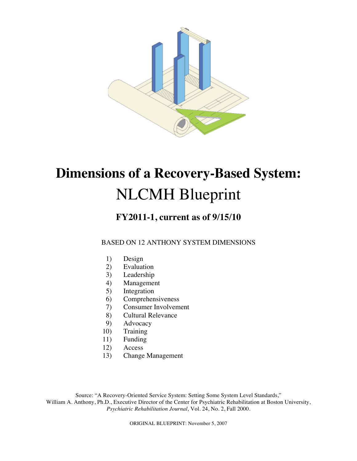

# **Dimensions of a Recovery-Based System:**  NLCMH Blueprint

## **FY2011-1, current as of 9/15/10**

## BASED ON 12 ANTHONY SYSTEM DIMENSIONS

- 1) Design
- 2) Evaluation
- 3) Leadership
- 4) Management
- 5) Integration
- 6) Comprehensiveness
- 7) Consumer Involvement
- 8) Cultural Relevance
- 9) Advocacy
- 10) Training
- 11) Funding
- 12) Access
- 13) Change Management

Source: "A Recovery-Oriented Service System: Setting Some System Level Standards," William A. Anthony, Ph.D., Executive Director of the Center for Psychiatric Rehabilitation at Boston University, *Psychiatric Rehabilitation Journal,* Vol. 24, No. 2, Fall 2000.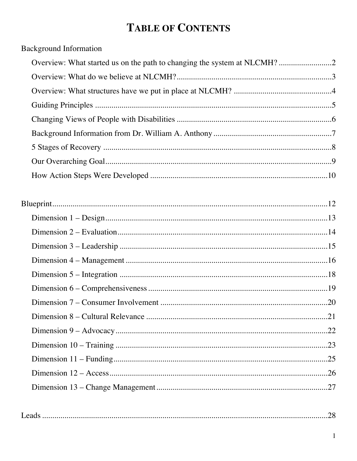# **TABLE OF CONTENTS**

**Background Information** 

|--|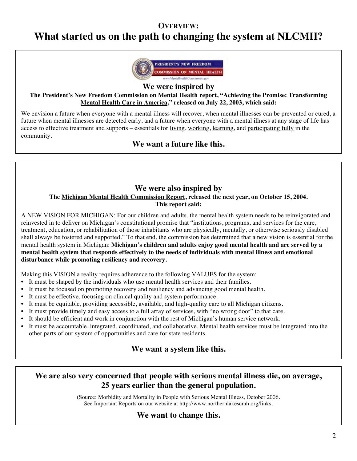## **OVERVIEW:**

# **What started us on the path to changing the system at NLCMH?**



**We were inspired by**

**The President's New Freedom Commission on Mental Health report, "Achieving the Promise: Transforming Mental Health Care in America," released on July 22, 2003, which said:**

We envision a future when everyone with a mental illness will recover, when mental illnesses can be prevented or cured, a future when mental illnesses are detected early, and a future when everyone with a mental illness at any stage of life has access to effective treatment and supports – essentials for living, working, learning, and participating fully in the community.

## **We want a future like this.**

## **We were also inspired by**

## **The Michigan Mental Health Commission Report, released the next year, on October 15, 2004. This report said:**

A NEW VISION FOR MICHIGAN: For our children and adults, the mental health system needs to be reinvigorated and reinvested in to deliver on Michigan's constitutional promise that "institutions, programs, and services for the care, treatment, education, or rehabilitation of those inhabitants who are physically, mentally, or otherwise seriously disabled shall always be fostered and supported." To that end, the commission has determined that a new vision is essential for the mental health system in Michigan: **Michigan's children and adults enjoy good mental health and are served by a mental health system that responds effectively to the needs of individuals with mental illness and emotional disturbance while promoting resiliency and recovery.**

Making this VISION a reality requires adherence to the following VALUES for the system:

- It must be shaped by the individuals who use mental health services and their families.
- It must be focused on promoting recovery and resiliency and advancing good mental health.
- It must be effective, focusing on clinical quality and system performance.
- It must be equitable, providing accessible, available, and high-quality care to all Michigan citizens.
- It must provide timely and easy access to a full array of services, with "no wrong door" to that care.
- It should be efficient and work in conjunction with the rest of Michigan's human service network.
- It must be accountable, integrated, coordinated, and collaborative. Mental health services must be integrated into the other parts of our system of opportunities and care for state residents.

## **We want a system like this.**

## **We are also very concerned that people with serious mental illness die, on average, 25 years earlier than the general population.**

(Source: Morbidity and Mortality in People with Serious Mental Illness, October 2006. See Important Reports on our website at http://www.northernlakescmh.org/links.

## **We want to change this.**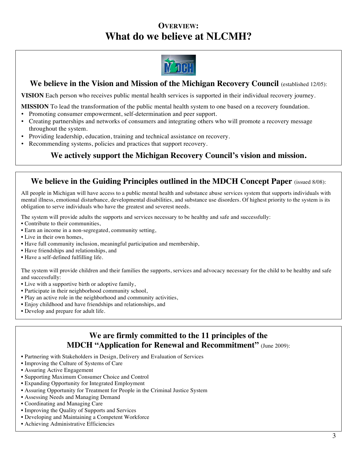## **OVERVIEW: What do we believe at NLCMH?**



## **We believe in the Vision and Mission of the Michigan Recovery Council** (established 12/05):

**VISION** Each person who receives public mental health services is supported in their individual recovery journey.

**MISSION** To lead the transformation of the public mental health system to one based on a recovery foundation.

- Promoting consumer empowerment, self-determination and peer support.
- Creating partnerships and networks of consumers and integrating others who will promote a recovery message throughout the system.
- Providing leadership, education, training and technical assistance on recovery.
- Recommending systems, policies and practices that support recovery.

## **We actively support the Michigan Recovery Council's vision and mission.**

## **We believe in the Guiding Principles outlined in the MDCH Concept Paper** (issued 8/08):

All people in Michigan will have access to a public mental health and substance abuse services system that supports individuals with mental illness, emotional disturbance, developmental disabilities, and substance use disorders. Of highest priority to the system is its obligation to serve individuals who have the greatest and severest needs.

The system will provide adults the supports and services necessary to be healthy and safe and successfully:

- Contribute to their communities,
- Earn an income in a non-segregated, community setting,
- Live in their own homes,
- Have full community inclusion, meaningful participation and membership,
- Have friendships and relationships, and
- Have a self-defined fulfilling life.

The system will provide children and their families the supports, services and advocacy necessary for the child to be healthy and safe and successfully:

- Live with a supportive birth or adoptive family,
- Participate in their neighborhood community school,
- Play an active role in the neighborhood and community activities,
- Enjoy childhood and have friendships and relationships, and
- Develop and prepare for adult life.

## **We are firmly committed to the 11 principles of the MDCH "Application for Renewal and Recommitment"** (June 2009):

- Partnering with Stakeholders in Design, Delivery and Evaluation of Services
- Improving the Culture of Systems of Care
- Assuring Active Engagement
- Supporting Maximum Consumer Choice and Control
- Expanding Opportunity for Integrated Employment
- Assuring Opportunity for Treatment for People in the Criminal Justice System
- Assessing Needs and Managing Demand
- Coordinating and Managing Care
- Improving the Quality of Supports and Services
- Developing and Maintaining a Competent Workforce
- Achieving Administrative Efficiencies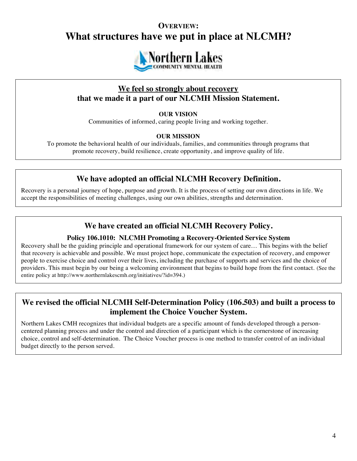## **OVERVIEW: What structures have we put in place at NLCMH?**



## **We feel so strongly about recovery that we made it a part of our NLCMH Mission Statement.**

## **OUR VISION**

Communities of informed, caring people living and working together.

## **OUR MISSION**

To promote the behavioral health of our individuals, families, and communities through programs that promote recovery, build resilience, create opportunity, and improve quality of life.

## **We have adopted an official NLCMH Recovery Definition.**

Recovery is a personal journey of hope, purpose and growth. It is the process of setting our own directions in life. We accept the responsibilities of meeting challenges, using our own abilities, strengths and determination.

## **We have created an official NLCMH Recovery Policy.**

## **Policy 106.1010: NLCMH Promoting a Recovery-Oriented Service System**

Recovery shall be the guiding principle and operational framework for our system of care… This begins with the belief that recovery is achievable and possible. We must project hope, communicate the expectation of recovery, and empower people to exercise choice and control over their lives, including the purchase of supports and services and the choice of providers. This must begin by our being a welcoming environment that begins to build hope from the first contact. (See the entire policy at http://www.northernlakescmh.org/initiatives/?id=394.)

## **We revised the official NLCMH Self-Determination Policy (106.503) and built a process to implement the Choice Voucher System.**

Northern Lakes CMH recognizes that individual budgets are a specific amount of funds developed through a personcentered planning process and under the control and direction of a participant which is the cornerstone of increasing choice, control and self-determination. The Choice Voucher process is one method to transfer control of an individual budget directly to the person served.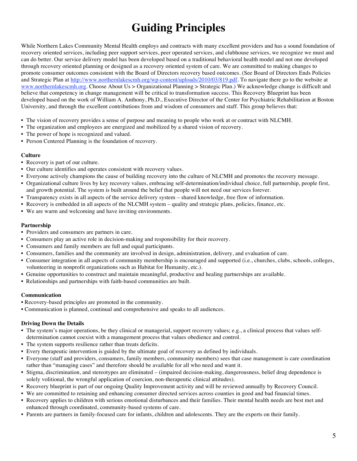# **Guiding Principles**

While Northern Lakes Community Mental Health employs and contracts with many excellent providers and has a sound foundation of recovery oriented services, including peer support services, peer operated services, and clubhouse services, we recognize we must and can do better. Our service delivery model has been developed based on a traditional behavioral health model and not one developed through recovery oriented planning or designed as a recovery oriented system of care. We are committed to making changes to promote consumer outcomes consistent with the Board of Directors recovery based outcomes. (See Board of Directors Ends Policies and Strategic Plan at http://www.northernlakescmh.org/wp-content/uploads/2010/03/819.pdf. To navigate there go to the website at www.northernlakescmh.org. Choose About Us > Organizational Planning > Strategic Plan.) We acknowledge change is difficult and believe that competency in change management will be critical to transformation success. This Recovery Blueprint has been developed based on the work of William A. Anthony, Ph.D., Executive Director of the Center for Psychiatric Rehabilitation at Boston University, and through the excellent contributions from and wisdom of consumers and staff. This group believes that:

- The vision of recovery provides a sense of purpose and meaning to people who work at or contract with NLCMH.
- The organization and employees are energized and mobilized by a shared vision of recovery.
- The power of hope is recognized and valued.
- Person Centered Planning is the foundation of recovery.

#### **Culture**

- Recovery is part of our culture.
- Our culture identifies and operates consistent with recovery values.
- Everyone actively champions the cause of building recovery into the culture of NLCMH and promotes the recovery message.
- Organizational culture lives by key recovery values, embracing self-determination/individual choice, full partnership, people first, and growth potential. The system is built around the belief that people will not need our services forever.
- Transparency exists in all aspects of the service delivery system shared knowledge, free flow of information.
- Recovery is embedded in all aspects of the NLCMH system quality and strategic plans, policies, finance, etc.
- We are warm and welcoming and have inviting environments.

#### **Partnership**

- Providers and consumers are partners in care.
- Consumers play an active role in decision-making and responsibility for their recovery.
- Consumers and family members are full and equal participants.
- Consumers, families and the community are involved in design, administration, delivery, and evaluation of care.
- Consumer integration in all aspects of community membership is encouraged and supported (i.e., churches, clubs, schools, colleges, volunteering in nonprofit organizations such as Habitat for Humanity, etc.).
- Genuine opportunities to construct and maintain meaningful, productive and healing partnerships are available.
- Relationships and partnerships with faith-based communities are built.

## **Communication**

- Recovery-based principles are promoted in the community.
- Communication is planned, continual and comprehensive and speaks to all audiences.

## **Driving Down the Details**

- The system's major operations, be they clinical or managerial, support recovery values; e.g., a clinical process that values selfdetermination cannot coexist with a management process that values obedience and control.
- The system supports resilience rather than treats deficits.
- Every therapeutic intervention is guided by the ultimate goal of recovery as defined by individuals.
- Everyone (staff and providers, consumers, family members, community members) sees that case management is care coordination rather than "managing cases" and therefore should be available for all who need and want it.
- Stigma, discrimination, and stereotypes are eliminated (impaired decision-making, dangerousness, belief drug dependence is solely volitional, the wrongful application of coercion, non-therapeutic clinical attitudes).
- Recovery blueprint is part of our ongoing Quality Improvement activity and will be reviewed annually by Recovery Council.
- We are committed to retaining and enhancing consumer directed services across counties in good and bad financial times.
- Recovery applies to children with serious emotional disturbances and their families. Their mental health needs are best met and enhanced through coordinated, community-based systems of care.
- Parents are partners in family-focused care for infants, children and adolescents. They are the experts on their family.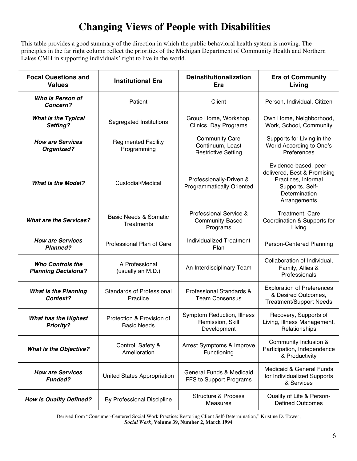# **Changing Views of People with Disabilities**

This table provides a good summary of the direction in which the public behavioral health system is moving. The principles in the far right column reflect the priorities of the Michigan Department of Community Health and Northern Lakes CMH in supporting individuals' right to live in the world.

| <b>Focal Questions and</b><br><b>Values</b>           | <b>Institutional Era</b>                        | <b>Deinstitutionalization</b><br>Era                                    | <b>Era of Community</b><br>Living                                                                                               |
|-------------------------------------------------------|-------------------------------------------------|-------------------------------------------------------------------------|---------------------------------------------------------------------------------------------------------------------------------|
| Who is Person of<br>Concern?                          | Patient                                         | Client                                                                  | Person, Individual, Citizen                                                                                                     |
| <b>What is the Typical</b><br>Setting?                | Segregated Institutions                         | Group Home, Workshop,<br>Clinics, Day Programs                          | Own Home, Neighborhood,<br>Work, School, Community                                                                              |
| <b>How are Services</b><br>Organized?                 | <b>Regimented Facility</b><br>Programming       | <b>Community Care</b><br>Continuum, Least<br><b>Restrictive Setting</b> | Supports for Living in the<br>World According to One's<br>Preferences                                                           |
| <b>What is the Model?</b>                             | Custodial/Medical                               | Professionally-Driven &<br><b>Programmatically Oriented</b>             | Evidence-based, peer-<br>delivered, Best & Promising<br>Practices, Informal<br>Supports, Self-<br>Determination<br>Arrangements |
| <b>What are the Services?</b>                         | <b>Basic Needs &amp; Somatic</b><br>Treatments  | Professional Service &<br>Community-Based<br>Programs                   | Treatment, Care<br>Coordination & Supports for<br>Living                                                                        |
| <b>How are Services</b><br><b>Planned?</b>            | Professional Plan of Care                       | <b>Individualized Treatment</b><br>Plan                                 | Person-Centered Planning                                                                                                        |
| <b>Who Controls the</b><br><b>Planning Decisions?</b> | A Professional<br>(usually an M.D.)             | An Interdisciplinary Team                                               | Collaboration of Individual,<br>Family, Allies &<br>Professionals                                                               |
| <b>What is the Planning</b><br>Context?               | <b>Standards of Professional</b><br>Practice    | Professional Standards &<br><b>Team Consensus</b>                       | <b>Exploration of Preferences</b><br>& Desired Outcomes,<br><b>Treatment/Support Needs</b>                                      |
| <b>What has the Highest</b><br><b>Priority?</b>       | Protection & Provision of<br><b>Basic Needs</b> | Symptom Reduction, Illness<br>Remission, Skill<br>Development           | Recovery, Supports of<br>Living, Illness Management,<br>Relationships                                                           |
| <b>What is the Objective?</b>                         | Control, Safety &<br>Amelioration               | Arrest Symptoms & Improve<br>Functioning                                | Community Inclusion &<br>Participation, Independence<br>& Productivity                                                          |
| <b>How are Services</b><br><b>Funded?</b>             | United States Appropriation                     | <b>General Funds &amp; Medicaid</b><br>FFS to Support Programs          | <b>Medicaid &amp; General Funds</b><br>for Individualized Supports<br>& Services                                                |
| <b>How is Quality Defined?</b>                        | By Professional Discipline                      | <b>Structure &amp; Process</b><br><b>Measures</b>                       | Quality of Life & Person-<br><b>Defined Outcomes</b>                                                                            |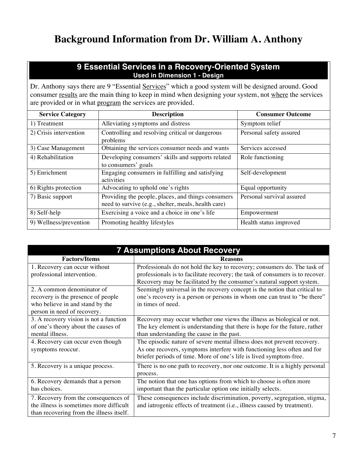# **Background Information from Dr. William A. Anthony**

## **9 Essential Services in a Recovery-Oriented System Used in Dimension 1 - Design**

Dr. Anthony says there are 9 "Essential Services" which a good system will be designed around. Good consumer results are the main thing to keep in mind when designing your system, not where the services are provided or in what program the services are provided.

| <b>Service Category</b> | <b>Description</b>                                                                                        | <b>Consumer Outcome</b>   |
|-------------------------|-----------------------------------------------------------------------------------------------------------|---------------------------|
| 1) Treatment            | Alleviating symptoms and distress                                                                         | Symptom relief            |
| 2) Crisis intervention  | Controlling and resolving critical or dangerous<br>problems                                               | Personal safety assured   |
| 3) Case Management      | Obtaining the services consumer needs and wants                                                           | Services accessed         |
| 4) Rehabilitation       | Developing consumers' skills and supports related<br>to consumers' goals                                  | Role functioning          |
| 5) Enrichment           | Engaging consumers in fulfilling and satisfying<br>activities                                             | Self-development          |
| 6) Rights protection    | Advocating to uphold one's rights                                                                         | Equal opportunity         |
| 7) Basic support        | Providing the people, places, and things consumers<br>need to survive (e.g., shelter, meals, health care) | Personal survival assured |
| 8) Self-help            | Exercising a voice and a choice in one's life                                                             | Empowerment               |
| 9) Wellness/prevention  | Promoting healthy lifestyles                                                                              | Health status improved    |

| <b>7 Assumptions About Recovery</b>      |                                                                               |  |  |
|------------------------------------------|-------------------------------------------------------------------------------|--|--|
| <b>Factors/Items</b>                     | <b>Reasons</b>                                                                |  |  |
| 1. Recovery can occur without            | Professionals do not hold the key to recovery; consumers do. The task of      |  |  |
| professional intervention.               | professionals is to facilitate recovery; the task of consumers is to recover. |  |  |
|                                          | Recovery may be facilitated by the consumer's natural support system.         |  |  |
| 2. A common denominator of               | Seemingly universal in the recovery concept is the notion that critical to    |  |  |
| recovery is the presence of people       | one's recovery is a person or persons in whom one can trust to "be there"     |  |  |
| who believe in and stand by the          | in times of need.                                                             |  |  |
| person in need of recovery.              |                                                                               |  |  |
| 3. A recovery vision is not a function   | Recovery may occur whether one views the illness as biological or not.        |  |  |
| of one's theory about the causes of      | The key element is understanding that there is hope for the future, rather    |  |  |
| mental illness.                          | than understanding the cause in the past.                                     |  |  |
| 4. Recovery can occur even though        | The episodic nature of severe mental illness does not prevent recovery.       |  |  |
| symptoms reoccur.                        | As one recovers, symptoms interfere with functioning less often and for       |  |  |
|                                          | briefer periods of time. More of one's life is lived symptom-free.            |  |  |
| 5. Recovery is a unique process.         | There is no one path to recovery, nor one outcome. It is a highly personal    |  |  |
|                                          | process.                                                                      |  |  |
| 6. Recovery demands that a person        | The notion that one has options from which to choose is often more            |  |  |
| has choices.                             | important than the particular option one initially selects.                   |  |  |
| 7. Recovery from the consequences of     | These consequences include discrimination, poverty, segregation, stigma,      |  |  |
| the illness is sometimes more difficult  | and iatrogenic effects of treatment (i.e., illness caused by treatment).      |  |  |
| than recovering from the illness itself. |                                                                               |  |  |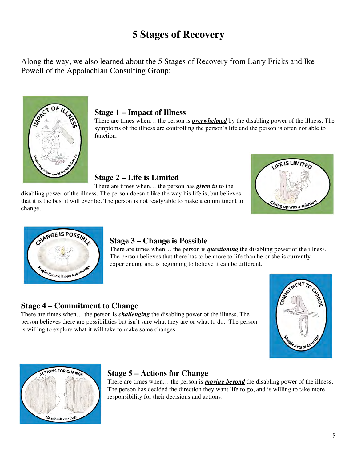# **5 Stages of Recovery**

Along the way, we also learned about the 5 Stages of Recovery from Larry Fricks and Ike Powell of the Appalachian Consulting Group:



## **Stage 1 – Impact of Illness**

There are times when… the person is *overwhelmed* by the disabling power of the illness. The symptoms of the illness are controlling the person's life and the person is often not able to function.

## **Stage 2 – Life is Limited**

There are times when… the person has *given in* to the disabling power of the illness. The person doesn't like the way his life is, but believes that it is the best it will ever be. The person is not ready/able to make a commitment to change.





## **Stage 3 – Change is Possible**

There are times when… the person is *questioning* the disabling power of the illness. The person believes that there has to be more to life than he or she is currently experiencing and is beginning to believe it can be different.

## **Stage 4 – Commitment to Change**

There are times when… the person is *challenging* the disabling power of the illness. The person believes there are possibilities but isn't sure what they are or what to do. The person is willing to explore what it will take to make some changes.





## **Stage 5 – Actions for Change**

There are times when… the person is *moving beyond* the disabling power of the illness. The person has decided the direction they want life to go, and is willing to take more responsibility for their decisions and actions.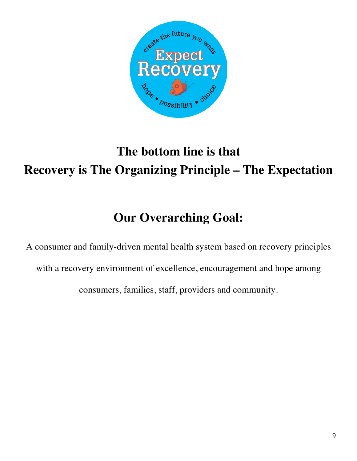

# **The bottom line is that Recovery is The Organizing Principle – The Expectation**

# **Our Overarching Goal:**

A consumer and family-driven mental health system based on recovery principles with a recovery environment of excellence, encouragement and hope among consumers, families, staff, providers and community.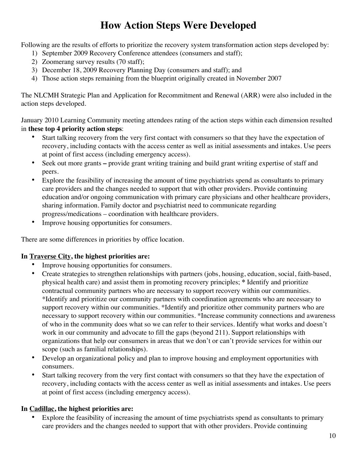# **How Action Steps Were Developed**

Following are the results of efforts to prioritize the recovery system transformation action steps developed by:

- 1) September 2009 Recovery Conference attendees (consumers and staff);
- 2) Zoomerang survey results (70 staff);
- 3) December 18, 2009 Recovery Planning Day (consumers and staff); and
- 4) Those action steps remaining from the blueprint originally created in November 2007

The NLCMH Strategic Plan and Application for Recommitment and Renewal (ARR) were also included in the action steps developed.

January 2010 Learning Community meeting attendees rating of the action steps within each dimension resulted in **these top 4 priority action steps**:

- Start talking recovery from the very first contact with consumers so that they have the expectation of recovery, including contacts with the access center as well as initial assessments and intakes. Use peers at point of first access (including emergency access).
- Seek out more grants **–** provide grant writing training and build grant writing expertise of staff and peers.
- Explore the feasibility of increasing the amount of time psychiatrists spend as consultants to primary care providers and the changes needed to support that with other providers. Provide continuing education and/or ongoing communication with primary care physicians and other healthcare providers, sharing information. Family doctor and psychiatrist need to communicate regarding progress/medications – coordination with healthcare providers.
- Improve housing opportunities for consumers.

There are some differences in priorities by office location.

## **In Traverse City, the highest priorities are:**

- Improve housing opportunities for consumers.
- Create strategies to strengthen relationships with partners (jobs, housing, education, social, faith-based, physical health care) and assist them in promoting recovery principles; **\*** Identify and prioritize contractual community partners who are necessary to support recovery within our communities. \*Identify and prioritize our community partners with coordination agreements who are necessary to support recovery within our communities. \*Identify and prioritize other community partners who are necessary to support recovery within our communities. \*Increase community connections and awareness of who in the community does what so we can refer to their services. Identify what works and doesn't work in our community and advocate to fill the gaps (beyond 211). Support relationships with organizations that help our consumers in areas that we don't or can't provide services for within our scope (such as familial relationships).
- Develop an organizational policy and plan to improve housing and employment opportunities with consumers.
- Start talking recovery from the very first contact with consumers so that they have the expectation of recovery, including contacts with the access center as well as initial assessments and intakes. Use peers at point of first access (including emergency access).

## **In Cadillac, the highest priorities are:**

Explore the feasibility of increasing the amount of time psychiatrists spend as consultants to primary care providers and the changes needed to support that with other providers. Provide continuing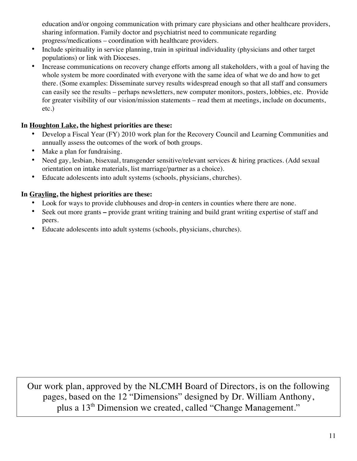education and/or ongoing communication with primary care physicians and other healthcare providers, sharing information. Family doctor and psychiatrist need to communicate regarding progress/medications – coordination with healthcare providers.

- Include spirituality in service planning, train in spiritual individuality (physicians and other target populations) or link with Dioceses.
- Increase communications on recovery change efforts among all stakeholders, with a goal of having the whole system be more coordinated with everyone with the same idea of what we do and how to get there. (Some examples: Disseminate survey results widespread enough so that all staff and consumers can easily see the results – perhaps newsletters, new computer monitors, posters, lobbies, etc. Provide for greater visibility of our vision/mission statements – read them at meetings, include on documents, etc.)

## **In Houghton Lake, the highest priorities are these:**

- Develop a Fiscal Year (FY) 2010 work plan for the Recovery Council and Learning Communities and annually assess the outcomes of the work of both groups.
- Make a plan for fundraising.
- Need gay, lesbian, bisexual, transgender sensitive/relevant services & hiring practices. (Add sexual orientation on intake materials, list marriage/partner as a choice).
- Educate adolescents into adult systems (schools, physicians, churches).

## **In Grayling, the highest priorities are these:**

- Look for ways to provide clubhouses and drop-in centers in counties where there are none.
- Seek out more grants **–** provide grant writing training and build grant writing expertise of staff and peers.
- Educate adolescents into adult systems (schools, physicians, churches).

Our work plan, approved by the NLCMH Board of Directors, is on the following pages, based on the 12 "Dimensions" designed by Dr. William Anthony, plus a 13th Dimension we created, called "Change Management."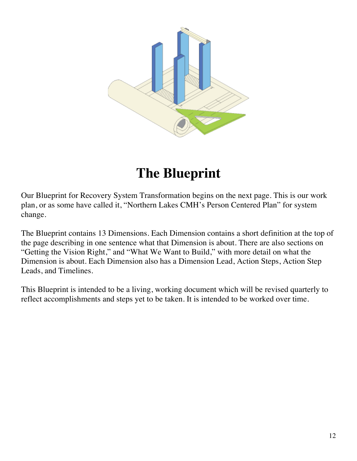

# **The Blueprint**

Our Blueprint for Recovery System Transformation begins on the next page. This is our work plan, or as some have called it, "Northern Lakes CMH's Person Centered Plan" for system change.

The Blueprint contains 13 Dimensions. Each Dimension contains a short definition at the top of the page describing in one sentence what that Dimension is about. There are also sections on "Getting the Vision Right," and "What We Want to Build," with more detail on what the Dimension is about. Each Dimension also has a Dimension Lead, Action Steps, Action Step Leads, and Timelines.

This Blueprint is intended to be a living, working document which will be revised quarterly to reflect accomplishments and steps yet to be taken. It is intended to be worked over time.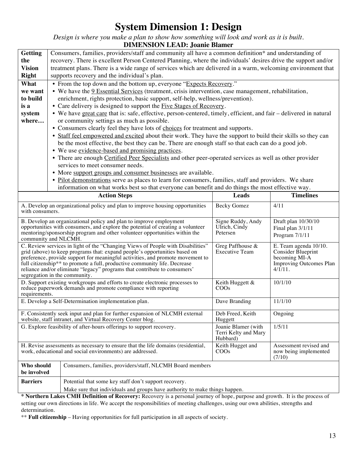# **System Dimension 1: Design**

*Design is where you make a plan to show how something will look and work as it is built.*

#### **DIMENSION LEAD: Joanie Blamer Getting the Vision Right** Consumers, families, providers/staff and community all have a common definition\* and understanding of recovery. There is excellent Person Centered Planning, where the individuals' desires drive the support and/or treatment plans. There is a wide range of services which are delivered in a warm, welcoming environment that supports recovery and the individual's plan. **What we want to build is a system where…** • From the top down and the bottom up, everyone "Expects Recovery." • We have the 9 Essential Services (treatment, crisis intervention, case management, rehabilitation, enrichment, rights protection, basic support, self-help, wellness/prevention). • Care delivery is designed to support the Five Stages of Recovery. • We have great care that is: safe, effective, person-centered, timely, efficient, and fair – delivered in natural or community settings as much as possible. • Consumers clearly feel they have lots of choices for treatment and supports. • Staff feel empowered and excited about their work. They have the support to build their skills so they can be the most effective, the best they can be. There are enough staff so that each can do a good job. • We use evidence-based and promising practices. • There are enough Certified Peer Specialists and other peer-operated services as well as other provider services to meet consumer needs. • More support groups and consumer businesses are available. • Pilot demonstrations serve as places to learn for consumers, families, staff and providers. We share information on what works best so that everyone can benefit and do things the most effective way. **Action Steps Leads Timelines** A. Develop an organizational policy and plan to improve housing opportunities with consumers. Becky Gomez 4/11 B. Develop an organizational policy and plan to improve employment opportunities with consumers, and explore the potential of creating a volunteer mentoring/sponsorship program and other volunteer opportunities within the community and NLCMH. Signe Ruddy, Andy Ulrich, Cindy Petersen Draft plan 10/30/10 Final plan 3/1/11 Program 7/1/11 C. Review services in light of the "Changing Views of People with Disabilities" grid (above) to keep programs that: expand people's opportunities based on preference, provide support for meaningful activities, and promote movement to full citizenship<sup>\*\*</sup> to promote a full, productive community life. Decrease reliance and/or eliminate "legacy" programs that contribute to consumers' segregation in the community. Greg Paffhouse & Executive Team E. Team agenda 10/10. Consider Blueprint becoming MI-A Improving Outcomes Plan  $4/\sqrt{111}$ . D. Support existing workgroups and efforts to create electronic processes to reduce paperwork demands and promote compliance with reporting requirements. Keith Huggett & COOs 10/1/10 E. Develop a Self-Determination implementation plan. Dave Branding 11/1/10 F. Consistently seek input and plan for further expansion of NLCMH external website, staff intranet, and Virtual Recovery Center blog. Deb Freed, Keith Huggett Ongoing G. Explore feasibility of after-hours offerings to support recovery. Joanie Blamer (with Terri Kelty and Mary Hubbard) 1/5/11 H. Revise assessments as necessary to ensure that the life domains (residential, work, educational and social environments) are addressed. Keith Hugget and COOs Assessment revised and now being implemented (7/10) **Who should be involved** Consumers, families, providers/staff, NLCMH Board members **Barriers** Potential that some key staff don't support recovery. Make sure that individuals and groups have authority to make things happen.

**\* Northern Lakes CMH Definition of Recovery:** Recovery is a personal journey of hope, purpose and growth. It is the process of setting our own directions in life. We accept the responsibilities of meeting challenges, using our own abilities, strengths and determination.

\*\* **Full citizenship** – Having opportunities for full participation in all aspects of society.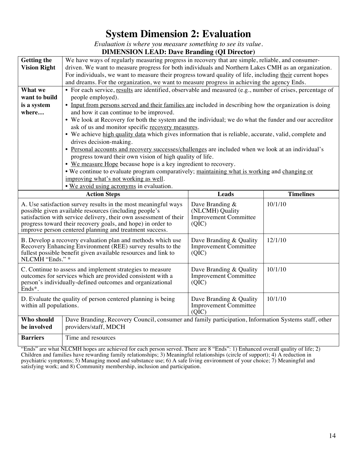# **System Dimension 2: Evaluation**

*Evaluation is where you measure something to see its value.* **DIMENSION LEAD: Dave Branding (QI Director)**

|                                                         | $\mu$ . $\mu$ . $\mu$ . $\mu$ . $\mu$ . $\mu$ . $\mu$ . $\mu$ . $\mu$ . $\mu$ . $\mu$ . $\mu$ . $\mu$ . $\mu$ . $\mu$ . $\mu$ . $\mu$ . $\mu$ . $\mu$ . $\mu$ . $\mu$ . $\mu$ . $\mu$ . $\mu$ . $\mu$ . $\mu$ . $\mu$ . $\mu$ . $\mu$ . $\mu$ . $\mu$ . $\mu$ . $\mu$ . $\mu$ . $\mu$ . $\mu$ . $\mu$ .                                                             |                                                                               |         |  |  |
|---------------------------------------------------------|---------------------------------------------------------------------------------------------------------------------------------------------------------------------------------------------------------------------------------------------------------------------------------------------------------------------------------------------------------------------|-------------------------------------------------------------------------------|---------|--|--|
| <b>Getting the</b>                                      | We have ways of regularly measuring progress in recovery that are simple, reliable, and consumer-                                                                                                                                                                                                                                                                   |                                                                               |         |  |  |
| <b>Vision Right</b>                                     | driven. We want to measure progress for both individuals and Northern Lakes CMH as an organization.                                                                                                                                                                                                                                                                 |                                                                               |         |  |  |
|                                                         | For individuals, we want to measure their progress toward quality of life, including their current hopes                                                                                                                                                                                                                                                            |                                                                               |         |  |  |
|                                                         | and dreams. For the organization, we want to measure progress in achieving the agency Ends.                                                                                                                                                                                                                                                                         |                                                                               |         |  |  |
| What we                                                 | • For each service, results are identified, observable and measured (e.g., number of crises, percentage of                                                                                                                                                                                                                                                          |                                                                               |         |  |  |
| want to build                                           | people employed).                                                                                                                                                                                                                                                                                                                                                   |                                                                               |         |  |  |
| is a system                                             | • Input from persons served and their families are included in describing how the organization is doing                                                                                                                                                                                                                                                             |                                                                               |         |  |  |
| where                                                   | and how it can continue to be improved.                                                                                                                                                                                                                                                                                                                             |                                                                               |         |  |  |
|                                                         | • We look at Recovery for both the system and the individual; we do what the funder and our accreditor                                                                                                                                                                                                                                                              |                                                                               |         |  |  |
|                                                         | ask of us and monitor specific recovery measures.                                                                                                                                                                                                                                                                                                                   |                                                                               |         |  |  |
|                                                         | • We achieve high quality data which gives information that is reliable, accurate, valid, complete and                                                                                                                                                                                                                                                              |                                                                               |         |  |  |
|                                                         | drives decision-making.                                                                                                                                                                                                                                                                                                                                             |                                                                               |         |  |  |
|                                                         | • Personal accounts and recovery successes/challenges are included when we look at an individual's                                                                                                                                                                                                                                                                  |                                                                               |         |  |  |
|                                                         | progress toward their own vision of high quality of life.                                                                                                                                                                                                                                                                                                           |                                                                               |         |  |  |
|                                                         | • We measure Hope because hope is a key ingredient to recovery.                                                                                                                                                                                                                                                                                                     |                                                                               |         |  |  |
|                                                         | . We continue to evaluate program comparatively; maintaining what is working and changing or                                                                                                                                                                                                                                                                        |                                                                               |         |  |  |
|                                                         | improving what's not working as well.                                                                                                                                                                                                                                                                                                                               |                                                                               |         |  |  |
|                                                         | . We avoid using acronyms in evaluation.                                                                                                                                                                                                                                                                                                                            |                                                                               |         |  |  |
| <b>Leads</b><br><b>Timelines</b><br><b>Action Steps</b> |                                                                                                                                                                                                                                                                                                                                                                     |                                                                               |         |  |  |
|                                                         | 10/1/10<br>A. Use satisfaction survey results in the most meaningful ways<br>Dave Branding &<br>(NLCMH) Quality<br>possible given available resources (including people's<br>satisfaction with service delivery, their own assessment of their<br><b>Improvement Committee</b><br>progress toward their recovery goals, and hope) in order to<br>(Q <sub>IC</sub> ) |                                                                               |         |  |  |
|                                                         | improve person centered planning and treatment success.                                                                                                                                                                                                                                                                                                             |                                                                               |         |  |  |
| NLCMH "Ends." *                                         | B. Develop a recovery evaluation plan and methods which use<br>Recovery Enhancing Environment (REE) survey results to the<br>fullest possible benefit given available resources and link to                                                                                                                                                                         | Dave Branding & Quality<br><b>Improvement Committee</b><br>(Q <sub>IC</sub> ) | 12/1/10 |  |  |
| Ends*.                                                  | C. Continue to assess and implement strategies to measure<br>outcomes for services which are provided consistent with a<br>person's individually-defined outcomes and organizational                                                                                                                                                                                | Dave Branding & Quality<br><b>Improvement Committee</b><br>(QIC)              | 10/1/10 |  |  |
| within all populations.                                 | D. Evaluate the quality of person centered planning is being                                                                                                                                                                                                                                                                                                        | Dave Branding & Quality<br><b>Improvement Committee</b><br>(QIC)              | 10/1/10 |  |  |
| Who should<br>be involved                               | Dave Branding, Recovery Council, consumer and family participation, Information Systems staff, other<br>providers/staff, MDCH                                                                                                                                                                                                                                       |                                                                               |         |  |  |

"Ends" are what NLCMH hopes are achieved for each person served. There are 8 "Ends": 1) Enhanced overall quality of life; 2) Children and families have rewarding family relationships; 3) Meaningful relationships (circle of support); 4) A reduction in psychiatric symptoms; 5) Managing mood and substance use; 6) A safe living environment of your choice; 7) Meaningful and satisfying work; and 8) Community membership, inclusion and participation.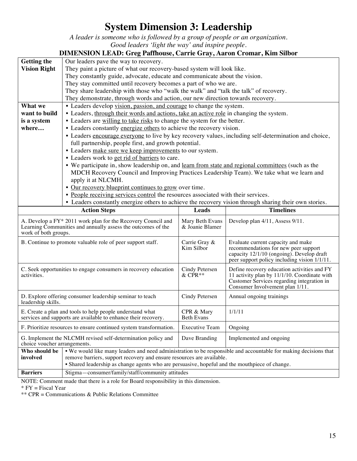# **System Dimension 3: Leadership**

*A leader is someone who is followed by a group of people or an organization. Good leaders 'light the way' and inspire people.*

| <b>DIMENSION LEAD: Greg Paffhouse, Carrie Gray, Aaron Cromar, Kim Silbor</b> |                                                                                                                                                    |                       |                                                                                   |  |  |
|------------------------------------------------------------------------------|----------------------------------------------------------------------------------------------------------------------------------------------------|-----------------------|-----------------------------------------------------------------------------------|--|--|
| <b>Getting the</b>                                                           | Our leaders pave the way to recovery.                                                                                                              |                       |                                                                                   |  |  |
| <b>Vision Right</b>                                                          | They paint a picture of what our recovery-based system will look like.                                                                             |                       |                                                                                   |  |  |
|                                                                              | They constantly guide, advocate, educate and communicate about the vision.                                                                         |                       |                                                                                   |  |  |
|                                                                              | They stay committed until recovery becomes a part of who we are.                                                                                   |                       |                                                                                   |  |  |
|                                                                              | They share leadership with those who "walk the walk" and "talk the talk" of recovery.                                                              |                       |                                                                                   |  |  |
|                                                                              | They demonstrate, through words and action, our new direction towards recovery.                                                                    |                       |                                                                                   |  |  |
| What we                                                                      | • Leaders develop vision, passion, and courage to change the system.                                                                               |                       |                                                                                   |  |  |
| want to build                                                                | • Leaders, through their words and actions, take an active role in changing the system.                                                            |                       |                                                                                   |  |  |
| is a system                                                                  | • Leaders are willing to take risks to change the system for the better.                                                                           |                       |                                                                                   |  |  |
| where                                                                        | • Leaders constantly energize others to achieve the recovery vision.                                                                               |                       |                                                                                   |  |  |
|                                                                              | • Leaders encourage everyone to live by key recovery values, including self-determination and choice,                                              |                       |                                                                                   |  |  |
|                                                                              | full partnership, people first, and growth potential.                                                                                              |                       |                                                                                   |  |  |
|                                                                              | • Leaders make sure we keep improvements to our system.                                                                                            |                       |                                                                                   |  |  |
|                                                                              | • Leaders work to get rid of barriers to care.                                                                                                     |                       |                                                                                   |  |  |
|                                                                              | • We participate in, show leadership on, and learn from state and regional committees (such as the                                                 |                       |                                                                                   |  |  |
|                                                                              | MDCH Recovery Council and Improving Practices Leadership Team). We take what we learn and                                                          |                       |                                                                                   |  |  |
|                                                                              | apply it at NLCMH.                                                                                                                                 |                       |                                                                                   |  |  |
|                                                                              | • Our recovery blueprint continues to grow over time.<br>• People receiving services control the resources associated with their services.         |                       |                                                                                   |  |  |
|                                                                              |                                                                                                                                                    |                       |                                                                                   |  |  |
|                                                                              | • Leaders constantly energize others to achieve the recovery vision through sharing their own stories.<br><b>Timelines</b>                         |                       |                                                                                   |  |  |
|                                                                              | <b>Action Steps</b>                                                                                                                                | Leads                 |                                                                                   |  |  |
|                                                                              | A. Develop a FY* 2011 work plan for the Recovery Council and<br>Develop plan 4/11, Assess 9/11.<br>Mary Beth Evans                                 |                       |                                                                                   |  |  |
|                                                                              | & Joanie Blamer<br>Learning Communities and annually assess the outcomes of the                                                                    |                       |                                                                                   |  |  |
|                                                                              |                                                                                                                                                    |                       |                                                                                   |  |  |
| work of both groups.                                                         |                                                                                                                                                    |                       |                                                                                   |  |  |
|                                                                              | B. Continue to promote valuable role of peer support staff.                                                                                        | Carrie Gray &         | Evaluate current capacity and make                                                |  |  |
|                                                                              |                                                                                                                                                    | Kim Silbor            | recommendations for new peer support<br>capacity 12/1/10 (ongoing). Develop draft |  |  |
|                                                                              |                                                                                                                                                    |                       | peer support policy including vision 1/1/11.                                      |  |  |
|                                                                              | C. Seek opportunities to engage consumers in recovery education                                                                                    | Cindy Petersen        | Define recovery education activities and FY                                       |  |  |
| activities.                                                                  |                                                                                                                                                    | $&$ CPR $**$          | 11 activity plan by 11/1/10. Coordinate with                                      |  |  |
|                                                                              |                                                                                                                                                    |                       | Customer Services regarding integration in                                        |  |  |
|                                                                              |                                                                                                                                                    |                       | Consumer Involvement plan 1/11.                                                   |  |  |
|                                                                              | D. Explore offering consumer leadership seminar to teach                                                                                           | Cindy Petersen        | Annual ongoing trainings                                                          |  |  |
| leadership skills.                                                           |                                                                                                                                                    |                       |                                                                                   |  |  |
|                                                                              | E. Create a plan and tools to help people understand what                                                                                          | CPR & Mary            | 1/1/11                                                                            |  |  |
|                                                                              | services and supports are available to enhance their recovery.                                                                                     | <b>Beth Evans</b>     |                                                                                   |  |  |
|                                                                              | F. Prioritize resources to ensure continued system transformation.                                                                                 | <b>Executive Team</b> | Ongoing                                                                           |  |  |
|                                                                              | G. Implement the NLCMH revised self-determination policy and                                                                                       | Dave Branding         | Implemented and ongoing                                                           |  |  |
| choice voucher arrangements.                                                 |                                                                                                                                                    |                       |                                                                                   |  |  |
| Who should be                                                                | • We would like many leaders and need administration to be responsible and accountable for making decisions that                                   |                       |                                                                                   |  |  |
| involved                                                                     | remove barriers, support recovery and ensure resources are available.                                                                              |                       |                                                                                   |  |  |
| <b>Barriers</b>                                                              | · Shared leadership as change agents who are persuasive, hopeful and the mouthpiece of change.<br>Stigma-consumer/family/staff/community attitudes |                       |                                                                                   |  |  |

NOTE: Comment made that there is a role for Board responsibility in this dimension.

\* FY = Fiscal Year

\*\* CPR = Communications & Public Relations Committee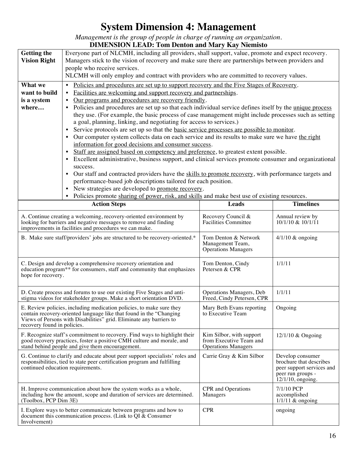# **System Dimension 4: Management**

*Management is the group of people in charge of running an organization.*

|                                   | <b>DIMENSION LEAD: Tom Denton and Mary Kay Niemisto</b>                                                                                                                             |                                                        |                                             |  |
|-----------------------------------|-------------------------------------------------------------------------------------------------------------------------------------------------------------------------------------|--------------------------------------------------------|---------------------------------------------|--|
| <b>Getting the</b>                | Everyone part of NLCMH, including all providers, shall support, value, promote and expect recovery.                                                                                 |                                                        |                                             |  |
| <b>Vision Right</b>               | Managers stick to the vision of recovery and make sure there are partnerships between providers and                                                                                 |                                                        |                                             |  |
|                                   | people who receive services.                                                                                                                                                        |                                                        |                                             |  |
|                                   | NLCMH will only employ and contract with providers who are committed to recovery values.                                                                                            |                                                        |                                             |  |
| What we                           | Policies and procedures are set up to support recovery and the Five Stages of Recovery.<br>$\bullet$                                                                                |                                                        |                                             |  |
| want to build                     | Facilities are welcoming and support recovery and partnerships.<br>٠                                                                                                                |                                                        |                                             |  |
| is a system                       | Our programs and procedures are recovery friendly.<br>$\bullet$                                                                                                                     |                                                        |                                             |  |
| where                             | Policies and procedures are set up so that each individual service defines itself by the unique process                                                                             |                                                        |                                             |  |
|                                   | they use. (For example, the basic process of case management might include processes such as setting                                                                                |                                                        |                                             |  |
|                                   | a goal, planning, linking, and negotiating for access to services.)                                                                                                                 |                                                        |                                             |  |
|                                   | Service protocols are set up so that the <u>basic service processes are possible to monitor</u> .                                                                                   |                                                        |                                             |  |
|                                   | Our computer system collects data on each service and its results to make sure we have the right                                                                                    |                                                        |                                             |  |
|                                   | information for good decisions and consumer success.                                                                                                                                |                                                        |                                             |  |
|                                   | Staff are assigned based on competency and preference, to greatest extent possible.<br>$\bullet$                                                                                    |                                                        |                                             |  |
|                                   | Excellent administrative, business support, and clinical services promote consumer and organizational<br>$\bullet$                                                                  |                                                        |                                             |  |
|                                   | success.                                                                                                                                                                            |                                                        |                                             |  |
|                                   | Our staff and contracted providers have the skills to promote recovery, with performance targets and<br>$\bullet$<br>performance-based job descriptions tailored for each position. |                                                        |                                             |  |
|                                   | New strategies are developed to promote recovery.                                                                                                                                   |                                                        |                                             |  |
|                                   | Policies promote sharing of power, risk, and skills and make best use of existing resources.                                                                                        |                                                        |                                             |  |
|                                   | <b>Action Steps</b>                                                                                                                                                                 | Leads                                                  | <b>Timelines</b>                            |  |
|                                   |                                                                                                                                                                                     |                                                        |                                             |  |
|                                   | A. Continue creating a welcoming, recovery-oriented environment by                                                                                                                  | Recovery Council &                                     | Annual review by                            |  |
|                                   | looking for barriers and negative messages to remove and finding<br>improvements in facilities and procedures we can make.                                                          | <b>Facilities Committee</b>                            | 10/1/10 & 10/1/11                           |  |
|                                   |                                                                                                                                                                                     |                                                        |                                             |  |
|                                   |                                                                                                                                                                                     |                                                        |                                             |  |
|                                   | B. Make sure staff/providers' jobs are structured to be recovery-oriented.*                                                                                                         | Tom Denton & Network<br>Management Team,               | $4/1/10$ & ongoing                          |  |
|                                   |                                                                                                                                                                                     | <b>Operations Managers</b>                             |                                             |  |
|                                   |                                                                                                                                                                                     |                                                        |                                             |  |
|                                   | C. Design and develop a comprehensive recovery orientation and                                                                                                                      | Tom Denton, Cindy                                      | 1/1/11                                      |  |
| hope for recovery.                | education program <sup>**</sup> for consumers, staff and community that emphasizes                                                                                                  | Petersen & CPR                                         |                                             |  |
|                                   |                                                                                                                                                                                     |                                                        |                                             |  |
|                                   |                                                                                                                                                                                     |                                                        |                                             |  |
|                                   | D. Create process and forums to use our existing Five Stages and anti-<br>stigma videos for stakeholder groups. Make a short orientation DVD.                                       | Operations Managers, Deb<br>Freed, Cindy Petersen, CPR | 1/1/11                                      |  |
|                                   | E. Review policies, including medication policies, to make sure they                                                                                                                | Mary Beth Evans reporting                              | Ongoing                                     |  |
|                                   | contain recovery-oriented language like that found in the "Changing                                                                                                                 | to Executive Team                                      |                                             |  |
|                                   | Views of Persons with Disabilities" grid. Eliminate any barriers to                                                                                                                 |                                                        |                                             |  |
| recovery found in policies.       |                                                                                                                                                                                     |                                                        |                                             |  |
|                                   | F. Recognize staff's commitment to recovery. Find ways to highlight their                                                                                                           | Kim Silbor, with support                               | 12/1/10 & Ongoing                           |  |
|                                   | good recovery practices, foster a positive CMH culture and morale, and<br>stand behind people and give them encouragement.                                                          | from Executive Team and<br><b>Operations Managers</b>  |                                             |  |
|                                   |                                                                                                                                                                                     |                                                        |                                             |  |
|                                   | G. Continue to clarify and educate about peer support specialists' roles and<br>responsibilities, tied to state peer certification program and fulfilling                           | Carrie Gray & Kim Silbor                               | Develop consumer<br>brochure that describes |  |
| continued education requirements. |                                                                                                                                                                                     |                                                        | peer support services and                   |  |
|                                   |                                                                                                                                                                                     |                                                        | peer run groups -                           |  |
|                                   |                                                                                                                                                                                     |                                                        | 12/1/10, ongoing.                           |  |
|                                   | H. Improve communication about how the system works as a whole,<br>including how the amount, scope and duration of services are determined.                                         | CPR and Operations<br>Managers                         | 7/1/10 PCP<br>accomplished                  |  |
| (Toolbox, PCP Dim 3E)             |                                                                                                                                                                                     |                                                        | $1/1/11$ & ongoing                          |  |
|                                   | I. Explore ways to better communicate between programs and how to                                                                                                                   | <b>CPR</b>                                             | ongoing                                     |  |
| Involvement)                      | document this communication process. (Link to $\overline{Q}I \& \overline{C}$ Consumer                                                                                              |                                                        |                                             |  |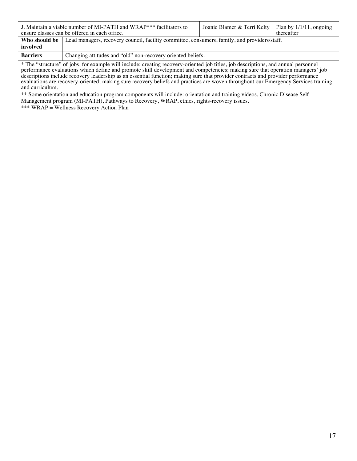|                 | J. Maintain a viable number of MI-PATH and WRAP*** facilitators to<br>ensure classes can be offered in each office. | Joanie Blamer & Terri Kelty   Plan by $1/1/11$ , ongoing | thereafter |
|-----------------|---------------------------------------------------------------------------------------------------------------------|----------------------------------------------------------|------------|
|                 | <b>Who should be</b> Lead managers, recovery council, facility committee, consumers, family, and providers/staff.   |                                                          |            |
| involved        |                                                                                                                     |                                                          |            |
| <b>Barriers</b> | Changing attitudes and "old" non-recovery oriented beliefs.                                                         |                                                          |            |

\* The "structure" of jobs, for example will include: creating recovery-oriented job titles, job descriptions, and annual personnel performance evaluations which define and promote skill development and competencies; making sure that operation managers' job descriptions include recovery leadership as an essential function; making sure that provider contracts and provider performance evaluations are recovery-oriented; making sure recovery beliefs and practices are woven throughout our Emergency Services training and curriculum.

\*\* Some orientation and education program components will include: orientation and training videos, Chronic Disease Self-Management program (MI-PATH), Pathways to Recovery, WRAP, ethics, rights-recovery issues.

\*\*\* WRAP = Wellness Recovery Action Plan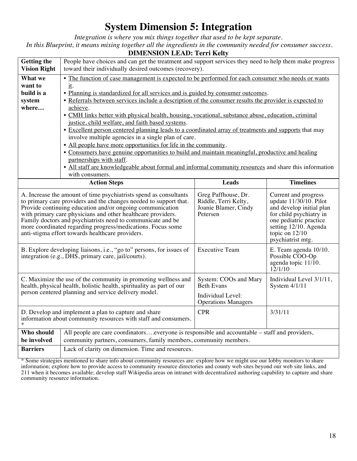# **System Dimension 5: Integration**

*Integration is where you mix things together that used to be kept separate. In this Blueprint, it means mixing together all the ingredients in the community needed for consumer success.* 

| <b>DIMENSION LEAD: Terri Kelty</b>                                                                                                                                                                                                                                                                                                                                                                                                                                                                                                                                                                                                                                                                                          |                                                                                                                                                                    |                                                 |                                                                            |
|-----------------------------------------------------------------------------------------------------------------------------------------------------------------------------------------------------------------------------------------------------------------------------------------------------------------------------------------------------------------------------------------------------------------------------------------------------------------------------------------------------------------------------------------------------------------------------------------------------------------------------------------------------------------------------------------------------------------------------|--------------------------------------------------------------------------------------------------------------------------------------------------------------------|-------------------------------------------------|----------------------------------------------------------------------------|
| <b>Getting the</b>                                                                                                                                                                                                                                                                                                                                                                                                                                                                                                                                                                                                                                                                                                          | People have choices and can get the treatment and support services they need to help them make progress                                                            |                                                 |                                                                            |
| <b>Vision Right</b>                                                                                                                                                                                                                                                                                                                                                                                                                                                                                                                                                                                                                                                                                                         | toward their individually desired outcomes (recovery).                                                                                                             |                                                 |                                                                            |
| What we                                                                                                                                                                                                                                                                                                                                                                                                                                                                                                                                                                                                                                                                                                                     | • The function of case management is expected to be performed for each consumer who needs or wants                                                                 |                                                 |                                                                            |
| want to                                                                                                                                                                                                                                                                                                                                                                                                                                                                                                                                                                                                                                                                                                                     | <u>it</u> .                                                                                                                                                        |                                                 |                                                                            |
| build is a                                                                                                                                                                                                                                                                                                                                                                                                                                                                                                                                                                                                                                                                                                                  | . Planning is standardized for all services and is guided by consumer outcomes.                                                                                    |                                                 |                                                                            |
| system                                                                                                                                                                                                                                                                                                                                                                                                                                                                                                                                                                                                                                                                                                                      | • Referrals between services include a description of the consumer results the provider is expected to                                                             |                                                 |                                                                            |
| where                                                                                                                                                                                                                                                                                                                                                                                                                                                                                                                                                                                                                                                                                                                       | achieve.                                                                                                                                                           |                                                 |                                                                            |
|                                                                                                                                                                                                                                                                                                                                                                                                                                                                                                                                                                                                                                                                                                                             | • CMH links better with physical health, housing, vocational, substance abuse, education, criminal                                                                 |                                                 |                                                                            |
|                                                                                                                                                                                                                                                                                                                                                                                                                                                                                                                                                                                                                                                                                                                             | justice, child welfare, and faith based systems.                                                                                                                   |                                                 |                                                                            |
|                                                                                                                                                                                                                                                                                                                                                                                                                                                                                                                                                                                                                                                                                                                             | • Excellent person centered planning leads to a coordinated array of treatments and supports that may                                                              |                                                 |                                                                            |
|                                                                                                                                                                                                                                                                                                                                                                                                                                                                                                                                                                                                                                                                                                                             | involve multiple agencies in a single plan of care.                                                                                                                |                                                 |                                                                            |
|                                                                                                                                                                                                                                                                                                                                                                                                                                                                                                                                                                                                                                                                                                                             | • All people have more opportunities for life in the community.<br>• Consumers have genuine opportunities to build and maintain meaningful, productive and healing |                                                 |                                                                            |
|                                                                                                                                                                                                                                                                                                                                                                                                                                                                                                                                                                                                                                                                                                                             | partnerships with staff.                                                                                                                                           |                                                 |                                                                            |
|                                                                                                                                                                                                                                                                                                                                                                                                                                                                                                                                                                                                                                                                                                                             | • All staff are knowledgeable about formal and informal community resources and share this information                                                             |                                                 |                                                                            |
|                                                                                                                                                                                                                                                                                                                                                                                                                                                                                                                                                                                                                                                                                                                             | with consumers.                                                                                                                                                    |                                                 |                                                                            |
|                                                                                                                                                                                                                                                                                                                                                                                                                                                                                                                                                                                                                                                                                                                             | <b>Action Steps</b>                                                                                                                                                | <b>Leads</b>                                    | <b>Timelines</b>                                                           |
| Greg Paffhouse, Dr.<br>A. Increase the amount of time psychiatrists spend as consultants<br>Current and progress<br>update $11/30/10$ . Pilot<br>to primary care providers and the changes needed to support that.<br>Riddle, Terri Kelty,<br>Provide continuing education and/or ongoing communication<br>Joanie Blamer, Cindy<br>and develop initial plan<br>with primary care physicians and other healthcare providers.<br>Petersen<br>for child psychiatry in<br>Family doctors and psychiatrists need to communicate and be<br>one pediatric practice<br>more coordinated regarding progress/medications. Focus some<br>setting 12/10. Agenda<br>anti-stigma effort towards healthcare providers.<br>topic on $12/10$ |                                                                                                                                                                    |                                                 |                                                                            |
|                                                                                                                                                                                                                                                                                                                                                                                                                                                                                                                                                                                                                                                                                                                             |                                                                                                                                                                    |                                                 | psychiatrist mtg.                                                          |
|                                                                                                                                                                                                                                                                                                                                                                                                                                                                                                                                                                                                                                                                                                                             | B. Explore developing liaisons, i.e., "go to" persons, for issues of<br>integration (e.g., DHS, primary care, jail/courts).                                        | <b>Executive Team</b>                           | E. Team agenda 10/10.<br>Possible COO-Op<br>agenda topic 11/10.<br>12/1/10 |
|                                                                                                                                                                                                                                                                                                                                                                                                                                                                                                                                                                                                                                                                                                                             | C. Maximize the use of the community in promoting wellness and<br>health, physical health, holistic health, spirituality as part of our                            | System: COOs and Mary<br><b>Beth Evans</b>      | Individual Level 3/1/11,<br>System $4/1/11$                                |
|                                                                                                                                                                                                                                                                                                                                                                                                                                                                                                                                                                                                                                                                                                                             | person centered planning and service delivery model.                                                                                                               | Individual Level:<br><b>Operations Managers</b> |                                                                            |
|                                                                                                                                                                                                                                                                                                                                                                                                                                                                                                                                                                                                                                                                                                                             | D. Develop and implement a plan to capture and share<br>information about community resources with staff and consumers.                                            | <b>CPR</b>                                      | 3/31/11                                                                    |
| Who should                                                                                                                                                                                                                                                                                                                                                                                                                                                                                                                                                                                                                                                                                                                  | All people are care coordinatorseveryone is responsible and accountable – staff and providers,                                                                     |                                                 |                                                                            |
| be involved<br><b>Barriers</b>                                                                                                                                                                                                                                                                                                                                                                                                                                                                                                                                                                                                                                                                                              | community partners, consumers, family members, community members.<br>Lack of clarity on dimension. Time and resources.                                             |                                                 |                                                                            |

\* Some strategies mentioned to share info about community resources are: explore how we might use our lobby monitors to share information; explore how to provide access to community resource directories and county web sites beyond our web site links, and 211 when it becomes available; develop staff Wikipedia areas on intranet with decentralized authoring capability to capture and share community resource information.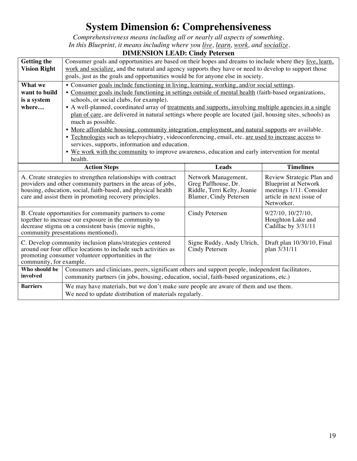# **System Dimension 6: Comprehensiveness**

*Comprehensiveness means including all or nearly all aspects of something. In this Blueprint, it means including where you live, learn, work, and socialize.*

|                         | DIMENSION LEAD: CHRY FETEREN                                                                                                                                                                                                                                                                                                                                                                                                                                                                     |                                             |                                                                      |  |
|-------------------------|--------------------------------------------------------------------------------------------------------------------------------------------------------------------------------------------------------------------------------------------------------------------------------------------------------------------------------------------------------------------------------------------------------------------------------------------------------------------------------------------------|---------------------------------------------|----------------------------------------------------------------------|--|
| <b>Getting the</b>      | Consumer goals and opportunities are based on their hopes and dreams to include where they live, learn,                                                                                                                                                                                                                                                                                                                                                                                          |                                             |                                                                      |  |
| <b>Vision Right</b>     | work and socialize, and the natural and agency supports they have or need to develop to support those                                                                                                                                                                                                                                                                                                                                                                                            |                                             |                                                                      |  |
|                         | goals, just as the goals and opportunities would be for anyone else in society.                                                                                                                                                                                                                                                                                                                                                                                                                  |                                             |                                                                      |  |
| What we                 | • Consumer goals include functioning in living, learning, working, and/or social settings.                                                                                                                                                                                                                                                                                                                                                                                                       |                                             |                                                                      |  |
| want to build           | • Consumer goals include functioning in settings outside of mental health (faith-based organizations,                                                                                                                                                                                                                                                                                                                                                                                            |                                             |                                                                      |  |
| is a system             | schools, or social clubs, for example).                                                                                                                                                                                                                                                                                                                                                                                                                                                          |                                             |                                                                      |  |
| where                   | • A well-planned, coordinated array of treatments and supports, involving multiple agencies in a single                                                                                                                                                                                                                                                                                                                                                                                          |                                             |                                                                      |  |
|                         | plan of care, are delivered in natural settings where people are located (jail, housing sites, schools) as                                                                                                                                                                                                                                                                                                                                                                                       |                                             |                                                                      |  |
|                         | much as possible.                                                                                                                                                                                                                                                                                                                                                                                                                                                                                |                                             |                                                                      |  |
|                         | • More affordable housing, community integration, employment, and natural supports are available.                                                                                                                                                                                                                                                                                                                                                                                                |                                             |                                                                      |  |
|                         | · Technologies such as telepsychiatry, videoconferencing, email, etc. are used to increase access to                                                                                                                                                                                                                                                                                                                                                                                             |                                             |                                                                      |  |
|                         | services, supports, information and education.                                                                                                                                                                                                                                                                                                                                                                                                                                                   |                                             |                                                                      |  |
|                         | • We work with the community to improve awareness, education and early intervention for mental                                                                                                                                                                                                                                                                                                                                                                                                   |                                             |                                                                      |  |
|                         | health.                                                                                                                                                                                                                                                                                                                                                                                                                                                                                          |                                             |                                                                      |  |
|                         | <b>Action Steps</b>                                                                                                                                                                                                                                                                                                                                                                                                                                                                              | <b>Leads</b>                                | <b>Timelines</b>                                                     |  |
|                         | Review Strategic Plan and<br>A. Create strategies to strengthen relationships with contract<br>Network Management,<br>providers and other community partners in the areas of jobs,<br>Greg Paffhouse, Dr.<br><b>Blueprint at Network</b><br>housing, education, social, faith-based, and physical health<br>Riddle, Terri Kelty, Joanie<br>meetings 1/11. Consider<br>article in next issue of<br>care and assist them in promoting recovery principles.<br>Blamer, Cindy Petersen<br>Networker. |                                             |                                                                      |  |
|                         |                                                                                                                                                                                                                                                                                                                                                                                                                                                                                                  |                                             |                                                                      |  |
|                         | B. Create opportunities for community partners to come<br>together to increase our exposure in the community to<br>decrease stigma on a consistent basis (movie nights,<br>community presentations mentioned).                                                                                                                                                                                                                                                                                   | Cindy Petersen                              | $9/27/10$ , $10/27/10$ ,<br>Houghton Lake and<br>Cadillac by 3/31/11 |  |
| community, for example. | C. Develop community inclusion plans/strategies centered<br>around our four office locations to include such activities as<br>promoting consumer volunteer opportunities in the                                                                                                                                                                                                                                                                                                                  | Signe Ruddy, Andy Ulrich,<br>Cindy Petersen | Draft plan 10/30/10, Final<br>plan 3/31/11                           |  |
| Who should be           | Consumers and clinicians, peers, significant others and support people, independent facilitators,                                                                                                                                                                                                                                                                                                                                                                                                |                                             |                                                                      |  |
| involved                | community partners (in jobs, housing, education, social, faith-based organizations, etc.)                                                                                                                                                                                                                                                                                                                                                                                                        |                                             |                                                                      |  |
| <b>Barriers</b>         | We may have materials, but we don't make sure people are aware of them and use them.                                                                                                                                                                                                                                                                                                                                                                                                             |                                             |                                                                      |  |

## **DIMENSION LEAD: Cindy Petersen**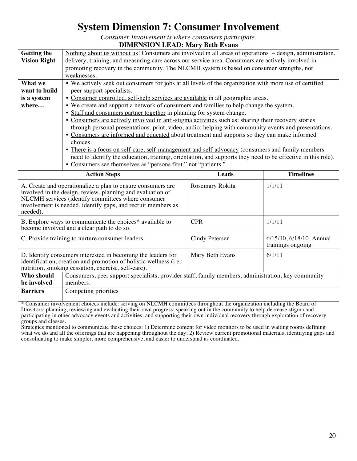# **System Dimension 7: Consumer Involvement**

*Consumer Involvement is where consumers participate.*

## **DIMENSION LEAD: Mary Beth Evans**

| <b>Getting the</b><br><b>Vision Right</b>        | Nothing about us without us! Consumers are involved in all areas of operations – design, administration,<br>delivery, training, and measuring care across our service area. Consumers are actively involved in<br>promoting recovery in the community. The NLCMH system is based on consumer strengths, not<br>weaknesses.                                                                                                                                                                                                                                                                                                                                                                                                                                                                                                                                                                                                                                                                                   |              |                  |  |
|--------------------------------------------------|--------------------------------------------------------------------------------------------------------------------------------------------------------------------------------------------------------------------------------------------------------------------------------------------------------------------------------------------------------------------------------------------------------------------------------------------------------------------------------------------------------------------------------------------------------------------------------------------------------------------------------------------------------------------------------------------------------------------------------------------------------------------------------------------------------------------------------------------------------------------------------------------------------------------------------------------------------------------------------------------------------------|--------------|------------------|--|
| What we<br>want to build<br>is a system<br>where | • We actively seek out consumers for jobs at all levels of the organization with more use of certified<br>peer support specialists.<br>• Consumer controlled, self-help services are available in all geographic areas.<br>• We create and support a network of consumers and families to help change the system.<br>• Staff and consumers partner together in planning for system change.<br>• Consumers are actively involved in anti-stigma activities such as: sharing their recovery stories<br>through personal presentations, print, video, audio; helping with community events and presentations.<br>• Consumers are informed and educated about treatment and supports so they can make informed<br>choices.<br>• There is a focus on self-care, self-management and self-advocacy (consumers and family members<br>need to identify the education, training, orientation, and supports they need to be effective in this role).<br>• Consumers see themselves as "persons first," not "patients." |              |                  |  |
|                                                  | <b>Action Steps</b>                                                                                                                                                                                                                                                                                                                                                                                                                                                                                                                                                                                                                                                                                                                                                                                                                                                                                                                                                                                          | <b>Leads</b> | <b>Timelines</b> |  |
| needed).                                         | Rosemary Rokita<br>A. Create and operationalize a plan to ensure consumers are<br>1/1/11<br>involved in the design, review, planning and evaluation of<br>NLCMH services (identify committees where consumer<br>involvement is needed, identify gaps, and recruit members as                                                                                                                                                                                                                                                                                                                                                                                                                                                                                                                                                                                                                                                                                                                                 |              |                  |  |
|                                                  | B. Explore ways to communicate the choices* available to<br><b>CPR</b><br>1/1/11<br>become involved and a clear path to do so.                                                                                                                                                                                                                                                                                                                                                                                                                                                                                                                                                                                                                                                                                                                                                                                                                                                                               |              |                  |  |
|                                                  | Cindy Petersen<br>6/15/10, 6/18/10, Annual<br>C. Provide training to nurture consumer leaders.<br>trainings ongoing                                                                                                                                                                                                                                                                                                                                                                                                                                                                                                                                                                                                                                                                                                                                                                                                                                                                                          |              |                  |  |
|                                                  | D. Identify consumers interested in becoming the leaders for<br>6/1/11<br>Mary Beth Evans<br>identification, creation and promotion of holistic wellness (i.e.:<br>nutrition, smoking cessation, exercise, self-care).                                                                                                                                                                                                                                                                                                                                                                                                                                                                                                                                                                                                                                                                                                                                                                                       |              |                  |  |
| Who should<br>be involved                        | Consumers, peer support specialists, provider staff, family members, administration, key community<br>members.                                                                                                                                                                                                                                                                                                                                                                                                                                                                                                                                                                                                                                                                                                                                                                                                                                                                                               |              |                  |  |
| <b>Barriers</b>                                  | Competing priorities                                                                                                                                                                                                                                                                                                                                                                                                                                                                                                                                                                                                                                                                                                                                                                                                                                                                                                                                                                                         |              |                  |  |

\* Consumer involvement choices include: serving on NLCMH committees throughout the organization including the Board of Directors; planning, reviewing and evaluating their own progress; speaking out in the community to help decrease stigma and participating in other advocacy events and activities; and supporting their own individual recovery through exploration of recovery groups and classes.

Strategies mentioned to communicate these choices: 1) Determine content for video monitors to be used in waiting rooms defining what we do and all the offerings that are happening throughout the day; 2) Review current promotional materials, identifying gaps and consolidating to make simpler, more comprehensive, and easier to understand as coordinated.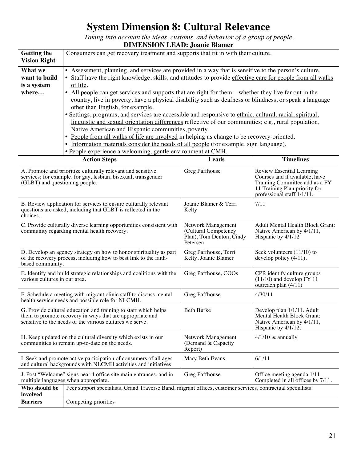# **System Dimension 8: Cultural Relevance**

*Taking into account the ideas, customs, and behavior of a group of people.*

## **DIMENSION LEAD: Joanie Blamer**

| <b>Getting the</b><br><b>Vision Right</b>                                                                                                                                                                      | Consumers can get recovery treatment and supports that fit in with their culture.                                                                                                                                                                                                                                                                                    |                                                                                    |                                                                                                                                 |  |
|----------------------------------------------------------------------------------------------------------------------------------------------------------------------------------------------------------------|----------------------------------------------------------------------------------------------------------------------------------------------------------------------------------------------------------------------------------------------------------------------------------------------------------------------------------------------------------------------|------------------------------------------------------------------------------------|---------------------------------------------------------------------------------------------------------------------------------|--|
| What we<br>want to build<br>is a system                                                                                                                                                                        | • Assessment, planning, and services are provided in a way that is sensitive to the person's culture.<br>• Staff have the right knowledge, skills, and attitudes to provide effective care for people from all walks<br>of life.                                                                                                                                     |                                                                                    |                                                                                                                                 |  |
| where                                                                                                                                                                                                          | All people can get services and supports that are right for them – whether they live far out in the<br>٠<br>country, live in poverty, have a physical disability such as deafness or blindness, or speak a language<br>other than English, for example.                                                                                                              |                                                                                    |                                                                                                                                 |  |
|                                                                                                                                                                                                                | · Settings, programs, and services are accessible and responsive to ethnic, cultural, racial, spiritual,<br>linguistic and sexual orientation differences reflective of our communities; $e.g.,$ rural population,<br>Native American and Hispanic communities, poverty.<br>People from all walks of life are involved in helping us change to be recovery-oriented. |                                                                                    |                                                                                                                                 |  |
|                                                                                                                                                                                                                | • Information materials consider the needs of all people (for example, sign language).<br>· People experience a welcoming, gentle environment at CMH.                                                                                                                                                                                                                |                                                                                    |                                                                                                                                 |  |
|                                                                                                                                                                                                                | <b>Action Steps</b>                                                                                                                                                                                                                                                                                                                                                  | Leads                                                                              | <b>Timelines</b>                                                                                                                |  |
| Greg Paffhouse<br>A. Promote and prioritize culturally relevant and sensitive<br>Review Essential Learning<br>services; for example, for gay, lesbian, bisexual, transgender<br>(GLBT) and questioning people. |                                                                                                                                                                                                                                                                                                                                                                      |                                                                                    | Courses and if available, have<br>Training Committee add as a FY<br>11 Training Plan priority for<br>professional staff 1/1/11. |  |
| choices.                                                                                                                                                                                                       | B. Review application for services to ensure culturally relevant<br>Joanie Blamer & Terri<br>7/11<br>questions are asked, including that GLBT is reflected in the<br>Kelty                                                                                                                                                                                           |                                                                                    |                                                                                                                                 |  |
| C. Provide culturally diverse learning opportunities consistent with<br>community regarding mental health recovery.                                                                                            |                                                                                                                                                                                                                                                                                                                                                                      | Network Management<br>(Cultural Competency<br>Plan), Tom Denton, Cindy<br>Petersen | <b>Adult Mental Health Block Grant:</b><br>Native American by 4/1/11,<br>Hispanic by 4/1/12                                     |  |
|                                                                                                                                                                                                                | D. Develop an agency strategy on how to honor spirituality as part<br>Greg Paffhouse, Terri<br>Seek volunteers $(11/10)$ to<br>of the recovery process, including how to best link to the faith-<br>Kelty, Joanie Blamer<br>develop policy $(4/11)$ .<br>based community.                                                                                            |                                                                                    |                                                                                                                                 |  |
| E. Identify and build strategic relationships and coalitions with the<br>Greg Paffhouse, COOs<br>various cultures in our area.<br>outreach plan (4/11)                                                         |                                                                                                                                                                                                                                                                                                                                                                      | CPR identify culture groups<br>$(11/10)$ and develop $\overline{FY}$ 11            |                                                                                                                                 |  |
| F. Schedule a meeting with migrant clinic staff to discuss mental<br>Greg Paffhouse<br>4/30/11<br>health service needs and possible role for NLCMH.                                                            |                                                                                                                                                                                                                                                                                                                                                                      |                                                                                    |                                                                                                                                 |  |
| G. Provide cultural education and training to staff which helps<br>them to promote recovery in ways that are appropriate and<br>sensitive to the needs of the various cultures we serve.                       |                                                                                                                                                                                                                                                                                                                                                                      | Beth Burke                                                                         | Develop plan 1/1/11. Adult<br>Mental Health Block Grant:<br>Native American by 4/1/11,<br>Hispanic by 4/1/12.                   |  |
| H. Keep updated on the cultural diversity which exists in our<br>communities to remain up-to-date on the needs.                                                                                                |                                                                                                                                                                                                                                                                                                                                                                      | Network Management<br>(Demand & Capacity<br>Report)                                | $4/1/10 \&$ annually                                                                                                            |  |
|                                                                                                                                                                                                                | I. Seek and promote active participation of consumers of all ages<br>Mary Beth Evans<br>6/1/11<br>and cultural backgrounds with NLCMH activities and initiatives.                                                                                                                                                                                                    |                                                                                    |                                                                                                                                 |  |
| J. Post "Welcome" signs near 4 office site main entrances, and in<br>Greg Paffhouse<br>Office meeting agenda 1/11.<br>multiple languages when appropriate.<br>Completed in all offices by 7/11.                |                                                                                                                                                                                                                                                                                                                                                                      |                                                                                    |                                                                                                                                 |  |
| Who should be<br>involved                                                                                                                                                                                      | Peer support specialists, Grand Traverse Band, migrant offices, customer services, contractual specialists.                                                                                                                                                                                                                                                          |                                                                                    |                                                                                                                                 |  |
| <b>Barriers</b>                                                                                                                                                                                                | Competing priorities                                                                                                                                                                                                                                                                                                                                                 |                                                                                    |                                                                                                                                 |  |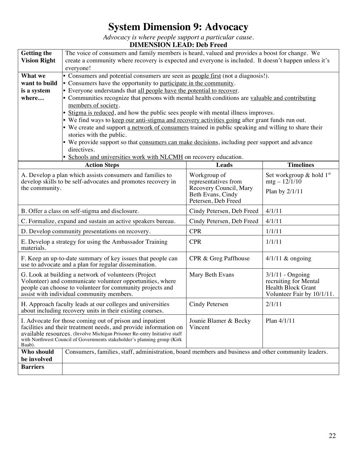# **System Dimension 9: Advocacy**

*Advocacy is where people support a particular cause.*

## **DIMENSION LEAD: Deb Freed**

| <b>Getting the</b>                                                                                                                                                 | The voice of consumers and family members is heard, valued and provides a boost for change. We                                             |                                                |                               |  |  |
|--------------------------------------------------------------------------------------------------------------------------------------------------------------------|--------------------------------------------------------------------------------------------------------------------------------------------|------------------------------------------------|-------------------------------|--|--|
| <b>Vision Right</b>                                                                                                                                                | create a community where recovery is expected and everyone is included. It doesn't happen unless it's                                      |                                                |                               |  |  |
|                                                                                                                                                                    | everyone!                                                                                                                                  |                                                |                               |  |  |
| What we                                                                                                                                                            | • Consumers and potential consumers are seen as people first (not a diagnosis!).                                                           |                                                |                               |  |  |
| want to build                                                                                                                                                      | • Consumers have the opportunity to participate in the community.<br>• Everyone understands that all people have the potential to recover. |                                                |                               |  |  |
| is a system<br>where                                                                                                                                               | • Communities recognize that persons with mental health conditions are valuable and contributing                                           |                                                |                               |  |  |
|                                                                                                                                                                    | members of society.                                                                                                                        |                                                |                               |  |  |
|                                                                                                                                                                    | • Stigma is reduced, and how the public sees people with mental illness improves.                                                          |                                                |                               |  |  |
|                                                                                                                                                                    | • We find ways to keep our anti-stigma and recovery activities going after grant funds run out.                                            |                                                |                               |  |  |
|                                                                                                                                                                    | • We create and support a network of consumers trained in public speaking and willing to share their                                       |                                                |                               |  |  |
|                                                                                                                                                                    | stories with the public.                                                                                                                   |                                                |                               |  |  |
|                                                                                                                                                                    | • We provide support so that consumers can make decisions, including peer support and advance                                              |                                                |                               |  |  |
|                                                                                                                                                                    | directives.                                                                                                                                |                                                |                               |  |  |
|                                                                                                                                                                    | • Schools and universities work with NLCMH on recovery education.                                                                          |                                                |                               |  |  |
|                                                                                                                                                                    | <b>Action Steps</b>                                                                                                                        | <b>Leads</b>                                   | <b>Timelines</b>              |  |  |
|                                                                                                                                                                    | A. Develop a plan which assists consumers and families to                                                                                  | Workgroup of                                   | Set workgroup $\&$ hold $1st$ |  |  |
| the community.                                                                                                                                                     | develop skills to be self-advocates and promotes recovery in                                                                               | representatives from<br>Recovery Council, Mary | $mfg - 12/1/10$               |  |  |
|                                                                                                                                                                    | Plan by $2/1/11$<br>Beth Evans, Cindy                                                                                                      |                                                |                               |  |  |
|                                                                                                                                                                    |                                                                                                                                            | Petersen, Deb Freed                            |                               |  |  |
|                                                                                                                                                                    | B. Offer a class on self-stigma and disclosure.<br>4/1/11<br>Cindy Petersen, Deb Freed                                                     |                                                |                               |  |  |
|                                                                                                                                                                    | 4/1/11<br>C. Formalize, expand and sustain an active speakers bureau.<br>Cindy Petersen, Deb Freed                                         |                                                |                               |  |  |
|                                                                                                                                                                    | <b>CPR</b><br>1/1/11<br>D. Develop community presentations on recovery.                                                                    |                                                |                               |  |  |
| <b>CPR</b><br>E. Develop a strategy for using the Ambassador Training<br>1/1/11<br>materials.                                                                      |                                                                                                                                            |                                                |                               |  |  |
| F. Keep an up-to-date summary of key issues that people can<br>$4/1/11$ & ongoing<br>CPR & Greg Paffhouse<br>use to advocate and a plan for regular dissemination. |                                                                                                                                            |                                                |                               |  |  |
| G. Look at building a network of volunteers (Project<br>Mary Beth Evans                                                                                            |                                                                                                                                            |                                                | $3/1/11$ - Ongoing            |  |  |
| recruiting for Mental<br>Volunteer) and communicate volunteer opportunities, where                                                                                 |                                                                                                                                            |                                                |                               |  |  |
|                                                                                                                                                                    | Health Block Grant<br>people can choose to volunteer for community projects and<br>assist with individual community members.               |                                                |                               |  |  |
|                                                                                                                                                                    | Volunteer Fair by 10/1/11.                                                                                                                 |                                                |                               |  |  |
| 2/1/11<br>H. Approach faculty leads at our colleges and universities<br>Cindy Petersen<br>about including recovery units in their existing courses.                |                                                                                                                                            |                                                |                               |  |  |
|                                                                                                                                                                    | Plan 4/1/11<br>Joanie Blamer & Becky<br>I. Advocate for those coming out of prison and inpatient                                           |                                                |                               |  |  |
| facilities and their treatment needs, and provide information on<br>Vincent                                                                                        |                                                                                                                                            |                                                |                               |  |  |
| available resources. (Involve Michigan Prisoner Re-entry Initiative staff<br>with Northwest Council of Governments stakeholder's planning group (Kirk              |                                                                                                                                            |                                                |                               |  |  |
| Baab).                                                                                                                                                             |                                                                                                                                            |                                                |                               |  |  |
| Who should                                                                                                                                                         | Consumers, families, staff, administration, board members and business and other community leaders.                                        |                                                |                               |  |  |
| be involved                                                                                                                                                        |                                                                                                                                            |                                                |                               |  |  |
| <b>Barriers</b>                                                                                                                                                    |                                                                                                                                            |                                                |                               |  |  |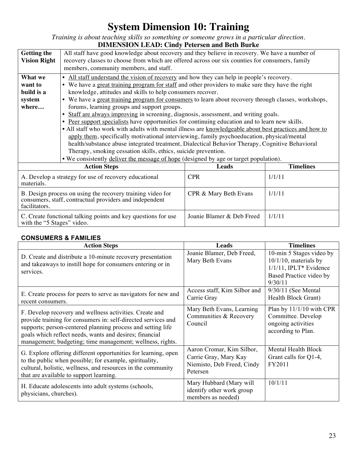# **System Dimension 10: Training**

*Training is about teaching skills so something or someone grows in a particular direction.* **DIMENSION LEAD: Cindy Petersen and Beth Burke**

| DIMENSION LEAD. CHRY I CLEISEN AND DELLI DULKE                                                                                                                            |                                                                                                        |                           |        |  |  |
|---------------------------------------------------------------------------------------------------------------------------------------------------------------------------|--------------------------------------------------------------------------------------------------------|---------------------------|--------|--|--|
| <b>Getting the</b>                                                                                                                                                        | All staff have good knowledge about recovery and they believe in recovery. We have a number of         |                           |        |  |  |
| <b>Vision Right</b>                                                                                                                                                       | recovery classes to choose from which are offered across our six counties for consumers, family        |                           |        |  |  |
|                                                                                                                                                                           | members, community members, and staff.                                                                 |                           |        |  |  |
| What we                                                                                                                                                                   | • All staff understand the vision of recovery and how they can help in people's recovery.              |                           |        |  |  |
| want to                                                                                                                                                                   | • We have a great training program for staff and other providers to make sure they have the right      |                           |        |  |  |
| build is a                                                                                                                                                                | knowledge, attitudes and skills to help consumers recover.                                             |                           |        |  |  |
| system                                                                                                                                                                    | • We have a great training program for consumers to learn about recovery through classes, workshops,   |                           |        |  |  |
| where                                                                                                                                                                     | forums, learning groups and support groups.                                                            |                           |        |  |  |
|                                                                                                                                                                           | Staff are always improving in screening, diagnosis, assessment, and writing goals.                     |                           |        |  |  |
|                                                                                                                                                                           | • Peer support specialists have opportunities for continuing education and to learn new skills.        |                           |        |  |  |
|                                                                                                                                                                           | • All staff who work with adults with mental illness are knowledgeable about best practices and how to |                           |        |  |  |
|                                                                                                                                                                           | apply them, specifically motivational interviewing, family psychoeducation, physical/mental            |                           |        |  |  |
|                                                                                                                                                                           | health/substance abuse integrated treatment, Dialectical Behavior Therapy, Cognitive Behavioral        |                           |        |  |  |
|                                                                                                                                                                           | Therapy, smoking cessation skills, ethics, suicide prevention.                                         |                           |        |  |  |
|                                                                                                                                                                           | • We consistently deliver the message of hope (designed by age or target population).                  |                           |        |  |  |
|                                                                                                                                                                           | <b>Timelines</b><br><b>Action Steps</b><br><b>Leads</b>                                                |                           |        |  |  |
| A. Develop a strategy for use of recovery educational<br>materials.                                                                                                       |                                                                                                        | <b>CPR</b>                | 1/1/11 |  |  |
| 1/1/11<br>B. Design process on using the recovery training video for<br>CPR & Mary Beth Evans<br>consumers, staff, contractual providers and independent<br>facilitators. |                                                                                                        |                           |        |  |  |
| with the "5 Stages" video.                                                                                                                                                | C. Create functional talking points and key questions for use                                          | Joanie Blamer & Deb Freed | 1/1/11 |  |  |

## **CONSUMERS & FAMILIES**

| <b>Action Steps</b>                                                                                                                                                                                                                                                                                             | Leads                                                                                        | <b>Timelines</b>                                                                                                        |
|-----------------------------------------------------------------------------------------------------------------------------------------------------------------------------------------------------------------------------------------------------------------------------------------------------------------|----------------------------------------------------------------------------------------------|-------------------------------------------------------------------------------------------------------------------------|
| D. Create and distribute a 10-minute recovery presentation<br>and takeaways to instill hope for consumers entering or in<br>services.                                                                                                                                                                           | Joanie Blamer, Deb Freed,<br>Mary Beth Evans                                                 | 10-min 5 Stages video by<br>$10/1/10$ , materials by<br>$1/1/11$ , IPLT* Evidence<br>Based Practice video by<br>9/30/11 |
| E. Create process for peers to serve as navigators for new and<br>recent consumers.                                                                                                                                                                                                                             | Access staff, Kim Silbor and<br>Carrie Gray                                                  | $9/30/11$ (See Mental<br>Health Block Grant)                                                                            |
| F. Develop recovery and wellness activities. Create and<br>provide training for consumers in: self-directed services and<br>supports; person-centered planning process and setting life<br>goals which reflect needs, wants and desires; financial<br>management; budgeting; time management; wellness, rights. | Mary Beth Evans, Learning<br>Communities & Recovery<br>Council                               | Plan by 11/1/10 with CPR<br>Committee. Develop<br>ongoing activities<br>according to Plan.                              |
| G. Explore offering different opportunities for learning, open<br>to the public when possible; for example, spirituality,<br>cultural, holistic, wellness, and resources in the community<br>that are available to support learning.                                                                            | Aaron Cromar, Kim Silbor,<br>Carrie Gray, Mary Kay<br>Niemisto, Deb Freed, Cindy<br>Petersen | Mental Health Block<br>Grant calls for Q1-4,<br>FY2011                                                                  |
| H. Educate adolescents into adult systems (schools,<br>physicians, churches).                                                                                                                                                                                                                                   | Mary Hubbard (Mary will<br>identify other work group<br>members as needed)                   | 10/1/11                                                                                                                 |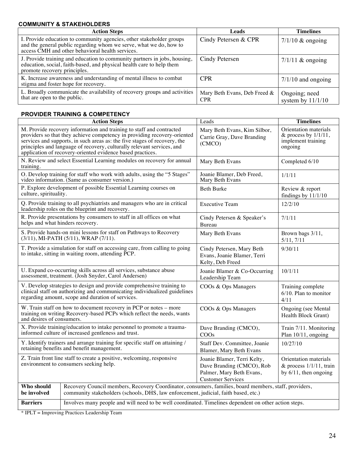## **COMMUNITY & STAKEHOLDERS**

| <b>Action Steps</b>                                                                                                                                                                            | Leads                                      | <b>Timelines</b>                     |
|------------------------------------------------------------------------------------------------------------------------------------------------------------------------------------------------|--------------------------------------------|--------------------------------------|
| I. Provide education to community agencies, other stakeholder groups<br>and the general public regarding whom we serve, what we do, how to<br>access CMH and other behavioral health services. | Cindy Petersen & CPR                       | $7/1/10$ & ongoing                   |
| J. Provide training and education to community partners in jobs, housing,<br>education, social, faith-based, and physical health care to help them<br>promote recovery principles.             | Cindy Petersen                             | $7/1/11$ & ongoing                   |
| K. Increase awareness and understanding of mental illness to combat<br>stigma and foster hope for recovery.                                                                                    | <b>CPR</b>                                 | $7/1/10$ and ongoing                 |
| L. Broadly communicate the availability of recovery groups and activities<br>that are open to the public.                                                                                      | Mary Beth Evans, Deb Freed &<br><b>CPR</b> | Ongoing; need<br>system by $11/1/10$ |

## **PROVIDER TRAINING & COMPETENCY**

|                                                                                                                           | <b>Action Steps</b>                                                                                                                                                                                                                                                                                                                                                   | Leads                                                                                                            | <b>Timelines</b>                                                                  |
|---------------------------------------------------------------------------------------------------------------------------|-----------------------------------------------------------------------------------------------------------------------------------------------------------------------------------------------------------------------------------------------------------------------------------------------------------------------------------------------------------------------|------------------------------------------------------------------------------------------------------------------|-----------------------------------------------------------------------------------|
|                                                                                                                           | M. Provide recovery information and training to staff and contracted<br>providers so that they achieve competency in providing recovery-oriented<br>services and supports, in such areas as: the five stages of recovery, the<br>principles and language of recovery, culturally relevant services, and<br>application of recovery-oriented evidence based practices. | Mary Beth Evans, Kim Silbor,<br>Carrie Gray, Dave Branding<br>(CMCO)                                             | Orientation materials<br>& process by $1/1/11$ ,<br>implement training<br>ongoing |
| training.                                                                                                                 | N. Review and select Essential Learning modules on recovery for annual                                                                                                                                                                                                                                                                                                | Mary Beth Evans                                                                                                  | Completed 6/10                                                                    |
|                                                                                                                           | O. Develop training for staff who work with adults, using the "5 Stages"<br>video information. (Same as consumer version.)                                                                                                                                                                                                                                            | Joanie Blamer, Deb Freed,<br>Mary Beth Evans                                                                     | 1/1/11                                                                            |
| culture, spirituality.                                                                                                    | P. Explore development of possible Essential Learning courses on                                                                                                                                                                                                                                                                                                      | <b>Beth Burke</b>                                                                                                | Review & report<br>findings by $11/1/10$                                          |
|                                                                                                                           | Q. Provide training to all psychiatrists and managers who are in critical<br>leadership roles on the blueprint and recovery.                                                                                                                                                                                                                                          | <b>Executive Team</b>                                                                                            | 12/2/10                                                                           |
| helps and what hinders recovery.                                                                                          | R. Provide presentations by consumers to staff in all offices on what                                                                                                                                                                                                                                                                                                 | Cindy Petersen & Speaker's<br>Bureau                                                                             | 7/1/11                                                                            |
|                                                                                                                           | S. Provide hands-on mini lessons for staff on Pathways to Recovery<br>(3/11), MI-PATH (5/11), WRAP (7/11).                                                                                                                                                                                                                                                            | Mary Beth Evans                                                                                                  | Brown bags 3/11,<br>5/11, 7/11                                                    |
|                                                                                                                           | T. Provide a simulation for staff on accessing care, from calling to going<br>to intake, sitting in waiting room, attending PCP.                                                                                                                                                                                                                                      | Cindy Petersen, Mary Beth<br>Evans, Joanie Blamer, Terri<br>Kelty, Deb Freed                                     | 9/30/11                                                                           |
|                                                                                                                           | U. Expand co-occurring skills across all services, substance abuse<br>assessment, treatment. (Josh Snyder, Carol Andersen)                                                                                                                                                                                                                                            | Joanie Blamer & Co-Occurring<br>Leadership Team                                                                  | 10/1/11                                                                           |
|                                                                                                                           | V. Develop strategies to design and provide comprehensive training to<br>clinical staff on authorizing and communicating individualized guidelines<br>regarding amount, scope and duration of services.                                                                                                                                                               | COOs & Ops Managers                                                                                              | Training complete<br>$6/10$ . Plan to monitor<br>4/11                             |
| and desires of consumers.                                                                                                 | W. Train staff on how to document recovery in PCP or notes – more<br>training on writing Recovery-based PCPs which reflect the needs, wants                                                                                                                                                                                                                           | COOs & Ops Managers                                                                                              | Ongoing (see Mental<br>Health Block Grant)                                        |
|                                                                                                                           | X. Provide training/education to intake personnel to promote a trauma-<br>informed culture of increased gentleness and trust.                                                                                                                                                                                                                                         | Dave Branding (CMCO),<br>COOs                                                                                    | Train 7/11. Monitoring<br>Plan 10/11, ongoing                                     |
| Y. Identify trainers and arrange training for specific staff on attaining /<br>retaining benefits and benefit management. |                                                                                                                                                                                                                                                                                                                                                                       | Staff Dev. Committee, Joanie<br>Blamer, Mary Beth Evans                                                          | 10/27/10                                                                          |
| Z. Train front line staff to create a positive, welcoming, responsive<br>environment to consumers seeking help.           |                                                                                                                                                                                                                                                                                                                                                                       | Joanie Blamer, Terri Kelty,<br>Dave Branding (CMCO), Rob<br>Palmer, Mary Beth Evans,<br><b>Customer Services</b> | Orientation materials<br>& process $1/1/11$ , train<br>by $6/11$ , then ongoing   |
| Who should<br>be involved                                                                                                 | Recovery Council members, Recovery Coordinator, consumers, families, board members, staff, providers,<br>community stakeholders (schools, DHS, law enforcement, judicial, faith based, etc.)                                                                                                                                                                          |                                                                                                                  |                                                                                   |
| <b>Barriers</b>                                                                                                           | Involves many people and will need to be well coordinated. Timelines dependent on other action steps.                                                                                                                                                                                                                                                                 |                                                                                                                  |                                                                                   |

\* IPLT = Improving Practices Leadership Team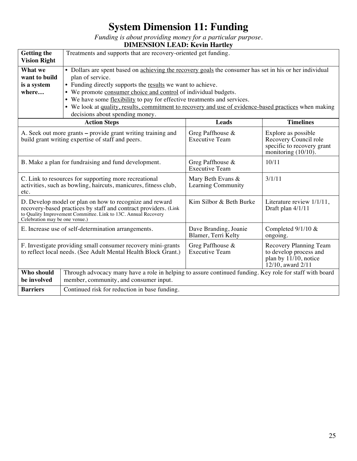# **System Dimension 11: Funding**

*Funding is about providing money for a particular purpose.*

| <b>DIMENSION LEAD: Kevin Hartley</b> |
|--------------------------------------|
|--------------------------------------|

| <b>Getting the</b><br><b>Vision Right</b>                                                                                                                                                                                                                                      | Treatments and supports that are recovery-oriented get funding.                                                                                                                                                                                                                                                                                                                                                                                                                       |                                              |                                                                                                   |
|--------------------------------------------------------------------------------------------------------------------------------------------------------------------------------------------------------------------------------------------------------------------------------|---------------------------------------------------------------------------------------------------------------------------------------------------------------------------------------------------------------------------------------------------------------------------------------------------------------------------------------------------------------------------------------------------------------------------------------------------------------------------------------|----------------------------------------------|---------------------------------------------------------------------------------------------------|
| What we<br>want to build<br>is a system<br>where                                                                                                                                                                                                                               | • Dollars are spent based on achieving the recovery goals the consumer has set in his or her individual<br>plan of service.<br>• Funding directly supports the results we want to achieve.<br>• We promote consumer choice and control of individual budgets.<br>• We have some flexibility to pay for effective treatments and services.<br>• We look at quality, results, commitment to recovery and use of evidence-based practices when making<br>decisions about spending money. |                                              |                                                                                                   |
|                                                                                                                                                                                                                                                                                | <b>Action Steps</b>                                                                                                                                                                                                                                                                                                                                                                                                                                                                   | <b>Leads</b>                                 | <b>Timelines</b>                                                                                  |
| Greg Paffhouse &<br>A. Seek out more grants – provide grant writing training and<br>Explore as possible<br>Recovery Council role<br>build grant writing expertise of staff and peers.<br><b>Executive Team</b><br>specific to recovery grant<br>monitoring $(10/10)$ .         |                                                                                                                                                                                                                                                                                                                                                                                                                                                                                       |                                              |                                                                                                   |
| 10/11<br>B. Make a plan for fundraising and fund development.<br>Greg Paffhouse $\&$<br><b>Executive Team</b>                                                                                                                                                                  |                                                                                                                                                                                                                                                                                                                                                                                                                                                                                       |                                              |                                                                                                   |
| C. Link to resources for supporting more recreational<br>3/1/11<br>Mary Beth Evans &<br>activities, such as bowling, haircuts, manicures, fitness club,<br>Learning Community<br>etc.                                                                                          |                                                                                                                                                                                                                                                                                                                                                                                                                                                                                       |                                              |                                                                                                   |
| Kim Silbor & Beth Burke<br>D. Develop model or plan on how to recognize and reward<br>recovery-based practices by staff and contract providers. (Link<br>Draft plan 4/1/11<br>to Quality Improvement Committee. Link to 13C. Annual Recovery<br>Celebration may be one venue.) |                                                                                                                                                                                                                                                                                                                                                                                                                                                                                       |                                              | Literature review 1/1/11,                                                                         |
| E. Increase use of self-determination arrangements.                                                                                                                                                                                                                            |                                                                                                                                                                                                                                                                                                                                                                                                                                                                                       | Dave Branding, Joanie<br>Blamer, Terri Kelty | Completed $9/1/10$ &<br>ongoing.                                                                  |
| F. Investigate providing small consumer recovery mini-grants<br>to reflect local needs. (See Adult Mental Health Block Grant.)                                                                                                                                                 |                                                                                                                                                                                                                                                                                                                                                                                                                                                                                       | Greg Paffhouse &<br><b>Executive Team</b>    | Recovery Planning Team<br>to develop process and<br>plan by $11/10$ , notice<br>12/10, award 2/11 |
| Who should<br>be involved                                                                                                                                                                                                                                                      | Through advocacy many have a role in helping to assure continued funding. Key role for staff with board<br>member, community, and consumer input.                                                                                                                                                                                                                                                                                                                                     |                                              |                                                                                                   |
| <b>Barriers</b>                                                                                                                                                                                                                                                                | Continued risk for reduction in base funding.                                                                                                                                                                                                                                                                                                                                                                                                                                         |                                              |                                                                                                   |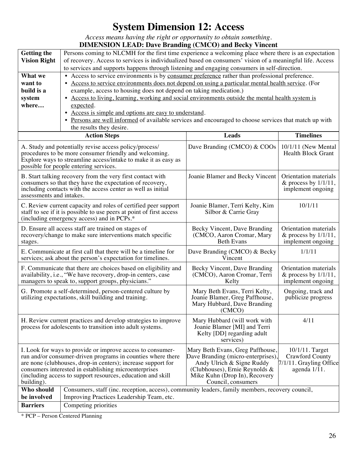# **System Dimension 12: Access**

*Access means having the right or opportunity to obtain something.*

|                                                                                                                                                                                                                                                                                                                                                                                                                                                                                                                                                                                          | <b>DIMENSION LEAD: Dave Branding (CMCO) and Becky Vincent</b>                                                                                                                                                                |                                          |                                                                       |  |
|------------------------------------------------------------------------------------------------------------------------------------------------------------------------------------------------------------------------------------------------------------------------------------------------------------------------------------------------------------------------------------------------------------------------------------------------------------------------------------------------------------------------------------------------------------------------------------------|------------------------------------------------------------------------------------------------------------------------------------------------------------------------------------------------------------------------------|------------------------------------------|-----------------------------------------------------------------------|--|
| <b>Getting the</b>                                                                                                                                                                                                                                                                                                                                                                                                                                                                                                                                                                       | Persons coming to NLCMH for the first time experience a welcoming place where there is an expectation                                                                                                                        |                                          |                                                                       |  |
| <b>Vision Right</b>                                                                                                                                                                                                                                                                                                                                                                                                                                                                                                                                                                      | of recovery. Access to services is individualized based on consumers' vision of a meaningful life. Access                                                                                                                    |                                          |                                                                       |  |
|                                                                                                                                                                                                                                                                                                                                                                                                                                                                                                                                                                                          | to services and supports happens through listening and engaging consumers in self-direction.                                                                                                                                 |                                          |                                                                       |  |
| What we                                                                                                                                                                                                                                                                                                                                                                                                                                                                                                                                                                                  | • Access to service environments is by consumer preference rather than professional preference.                                                                                                                              |                                          |                                                                       |  |
| want to                                                                                                                                                                                                                                                                                                                                                                                                                                                                                                                                                                                  | • Access to service environments does not depend on using a particular mental health service. (For                                                                                                                           |                                          |                                                                       |  |
| build is a                                                                                                                                                                                                                                                                                                                                                                                                                                                                                                                                                                               | example, access to housing does not depend on taking medication.)                                                                                                                                                            |                                          |                                                                       |  |
| system                                                                                                                                                                                                                                                                                                                                                                                                                                                                                                                                                                                   | • Access to living, learning, working and social environments outside the mental health system is                                                                                                                            |                                          |                                                                       |  |
| where                                                                                                                                                                                                                                                                                                                                                                                                                                                                                                                                                                                    | expected.                                                                                                                                                                                                                    |                                          |                                                                       |  |
|                                                                                                                                                                                                                                                                                                                                                                                                                                                                                                                                                                                          | • Access is simple and options are easy to understand.                                                                                                                                                                       |                                          |                                                                       |  |
|                                                                                                                                                                                                                                                                                                                                                                                                                                                                                                                                                                                          | • Persons are well informed of available services and encouraged to choose services that match up with                                                                                                                       |                                          |                                                                       |  |
|                                                                                                                                                                                                                                                                                                                                                                                                                                                                                                                                                                                          | the results they desire.                                                                                                                                                                                                     |                                          |                                                                       |  |
|                                                                                                                                                                                                                                                                                                                                                                                                                                                                                                                                                                                          | <b>Action Steps</b>                                                                                                                                                                                                          | <b>Leads</b>                             | <b>Timelines</b>                                                      |  |
|                                                                                                                                                                                                                                                                                                                                                                                                                                                                                                                                                                                          | A. Study and potentially revise access policy/process/<br>procedures to be more consumer friendly and welcoming.<br>Explore ways to streamline access/intake to make it as easy as<br>possible for people entering services. | Dave Branding (CMCO) & COOs              | $10/1/11$ (New Mental<br><b>Health Block Grant</b>                    |  |
| B. Start talking recovery from the very first contact with<br>Joanie Blamer and Becky Vincent<br>Orientation materials<br>consumers so that they have the expectation of recovery,<br>& process by $1/1/11$ ,<br>including contacts with the access center as well as initial<br>implement ongoing<br>assessments and intakes.                                                                                                                                                                                                                                                           |                                                                                                                                                                                                                              |                                          |                                                                       |  |
| 10/1/11<br>Joanie Blamer, Terri Kelty, Kim<br>C. Review current capacity and roles of certified peer support<br>staff to see if it is possible to use peers at point of first access<br>Silbor & Carrie Gray<br>(including emergency access) and in PCPs.*                                                                                                                                                                                                                                                                                                                               |                                                                                                                                                                                                                              |                                          |                                                                       |  |
| D. Ensure all access staff are trained on stages of<br>Becky Vincent, Dave Branding<br>recovery/change to make sure interventions match specific<br>(CMCO, Aaron Cromar, Mary<br><b>Beth Evans</b><br>stages.                                                                                                                                                                                                                                                                                                                                                                            |                                                                                                                                                                                                                              |                                          | Orientation materials<br>& process by $1/1/11$ ,<br>implement ongoing |  |
| E. Communicate at first call that there will be a timeline for<br>Dave Branding (CMCO) & Becky<br>1/1/11<br>Vincent<br>services; ask about the person's expectation for timelines.                                                                                                                                                                                                                                                                                                                                                                                                       |                                                                                                                                                                                                                              |                                          |                                                                       |  |
| F. Communicate that there are choices based on eligibility and<br>Becky Vincent, Dave Branding<br>availability, i.e., "We have recovery, drop-in centers, case<br>(CMCO), Aaron Cromar, Terri<br>managers to speak to, support groups, physicians."<br>Kelty                                                                                                                                                                                                                                                                                                                             |                                                                                                                                                                                                                              |                                          | Orientation materials<br>& process by $1/1/11$ ,<br>implement ongoing |  |
| G. Promote a self-determined, person-centered culture by<br>Mary Beth Evans, Terri Kelty,<br>utilizing expectations, skill building and training.<br>Joanie Blamer, Greg Paffhouse,<br>Mary Hubbard, Dave Branding<br>(CMCO)                                                                                                                                                                                                                                                                                                                                                             |                                                                                                                                                                                                                              | Ongoing, track and<br>publicize progress |                                                                       |  |
| 4/11<br>H. Review current practices and develop strategies to improve<br>Mary Hubbard (will work with<br>process for adolescents to transition into adult systems.<br>Joanie Blamer [MI] and Terri<br>Kelty [DD] regarding adult<br>services)                                                                                                                                                                                                                                                                                                                                            |                                                                                                                                                                                                                              |                                          |                                                                       |  |
| I. Look for ways to provide or improve access to consumer-<br>Mary Beth Evans, Greg Paffhouse,<br>10/1/11. Target<br>run and/or consumer-driven programs in counties where there<br>Dave Branding (micro-enterprises),<br>Crawford County<br>are none (clubhouses, drop-in centers); increase support for<br>Andy Ulrich & Signe Ruddy<br>consumers interested in establishing microenterprises<br>(Clubhouses), Ernie Reynolds $\&$<br>agenda 1/11.<br>Mike Kuhn (Drop In), Recovery<br>(including access to support resources, education and skill<br>Council, consumers<br>building). |                                                                                                                                                                                                                              |                                          | 7/1/11. Grayling Office                                               |  |
| Who should                                                                                                                                                                                                                                                                                                                                                                                                                                                                                                                                                                               | Consumers, staff (inc. reception, access), community leaders, family members, recovery council,                                                                                                                              |                                          |                                                                       |  |
| be involved                                                                                                                                                                                                                                                                                                                                                                                                                                                                                                                                                                              | Improving Practices Leadership Team, etc.                                                                                                                                                                                    |                                          |                                                                       |  |
| <b>Barriers</b>                                                                                                                                                                                                                                                                                                                                                                                                                                                                                                                                                                          | Competing priorities                                                                                                                                                                                                         |                                          |                                                                       |  |

\* PCP – Person Centered Planning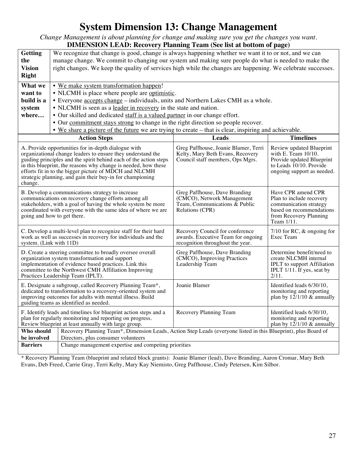## **System Dimension 13: Change Management**

*Change Management is about planning for change and making sure you get the changes you want.*

| <b>DIMENSION LEAD: Recovery Planning Team (See list at bottom of page)</b>                                                                                                                                                                                                                                                                                                                                                       |                                                                                                                                                                                                                                                                                                                                                                                                                                                                                                                                                                                                                                           |                                                                                                          |                                                                                                                                    |  |
|----------------------------------------------------------------------------------------------------------------------------------------------------------------------------------------------------------------------------------------------------------------------------------------------------------------------------------------------------------------------------------------------------------------------------------|-------------------------------------------------------------------------------------------------------------------------------------------------------------------------------------------------------------------------------------------------------------------------------------------------------------------------------------------------------------------------------------------------------------------------------------------------------------------------------------------------------------------------------------------------------------------------------------------------------------------------------------------|----------------------------------------------------------------------------------------------------------|------------------------------------------------------------------------------------------------------------------------------------|--|
| <b>Getting</b>                                                                                                                                                                                                                                                                                                                                                                                                                   | We recognize that change is good, change is always happening whether we want it to or not, and we can                                                                                                                                                                                                                                                                                                                                                                                                                                                                                                                                     |                                                                                                          |                                                                                                                                    |  |
| the                                                                                                                                                                                                                                                                                                                                                                                                                              | manage change. We commit to changing our system and making sure people do what is needed to make the                                                                                                                                                                                                                                                                                                                                                                                                                                                                                                                                      |                                                                                                          |                                                                                                                                    |  |
| <b>Vision</b>                                                                                                                                                                                                                                                                                                                                                                                                                    | right changes. We keep the quality of services high while the changes are happening. We celebrate successes.                                                                                                                                                                                                                                                                                                                                                                                                                                                                                                                              |                                                                                                          |                                                                                                                                    |  |
| <b>Right</b>                                                                                                                                                                                                                                                                                                                                                                                                                     |                                                                                                                                                                                                                                                                                                                                                                                                                                                                                                                                                                                                                                           |                                                                                                          |                                                                                                                                    |  |
| What we                                                                                                                                                                                                                                                                                                                                                                                                                          | • We make system transformation happen!                                                                                                                                                                                                                                                                                                                                                                                                                                                                                                                                                                                                   |                                                                                                          |                                                                                                                                    |  |
| want to                                                                                                                                                                                                                                                                                                                                                                                                                          | • NLCMH is place where people are optimistic.                                                                                                                                                                                                                                                                                                                                                                                                                                                                                                                                                                                             |                                                                                                          |                                                                                                                                    |  |
| build is a                                                                                                                                                                                                                                                                                                                                                                                                                       | • Everyone accepts change – individuals, units and Northern Lakes CMH as a whole.                                                                                                                                                                                                                                                                                                                                                                                                                                                                                                                                                         |                                                                                                          |                                                                                                                                    |  |
| system                                                                                                                                                                                                                                                                                                                                                                                                                           | • NLCMH is seen as a leader in recovery in the state and nation.                                                                                                                                                                                                                                                                                                                                                                                                                                                                                                                                                                          |                                                                                                          |                                                                                                                                    |  |
| where                                                                                                                                                                                                                                                                                                                                                                                                                            | • Our skilled and dedicated staff is a valued partner in our change effort.                                                                                                                                                                                                                                                                                                                                                                                                                                                                                                                                                               |                                                                                                          |                                                                                                                                    |  |
|                                                                                                                                                                                                                                                                                                                                                                                                                                  | • Our commitment stays strong to change in the right direction so people recover.                                                                                                                                                                                                                                                                                                                                                                                                                                                                                                                                                         |                                                                                                          |                                                                                                                                    |  |
|                                                                                                                                                                                                                                                                                                                                                                                                                                  | • We share a picture of the future we are trying to create – that is clear, inspiring and achievable.                                                                                                                                                                                                                                                                                                                                                                                                                                                                                                                                     |                                                                                                          |                                                                                                                                    |  |
|                                                                                                                                                                                                                                                                                                                                                                                                                                  | <b>Action Steps</b>                                                                                                                                                                                                                                                                                                                                                                                                                                                                                                                                                                                                                       | Leads                                                                                                    | <b>Timelines</b>                                                                                                                   |  |
| change.                                                                                                                                                                                                                                                                                                                                                                                                                          | Greg Paffhouse, Joanie Blamer, Terri<br>Review updated Blueprint<br>A. Provide opportunities for in-depth dialogue with<br>with E. Team 10/10.<br>organizational change leaders to ensure they understand the<br>Kelty, Mary Beth Evans, Recovery<br>Provide updated Blueprint<br>guiding principles and the spirit behind each of the action steps<br>Council staff members, Ops Mgrs.<br>in this blueprint, the reasons why change is needed, how these<br>to Leads 10/10. Provide<br>efforts fit in to the bigger picture of MDCH and NLCMH<br>ongoing support as needed.<br>strategic planning, and gain their buy-in for championing |                                                                                                          |                                                                                                                                    |  |
| Have CPR amend CPR<br>Greg Paffhouse, Dave Branding<br>B. Develop a communications strategy to increase<br>communications on recovery change efforts among all<br>(CMCO), Network Management<br>stakeholders, with a goal of having the whole system be more<br>Team, Communications $\&$ Public<br>coordinated with everyone with the same idea of where we are<br>Relations (CPR)<br>going and how to get there.<br>Team 1/11. |                                                                                                                                                                                                                                                                                                                                                                                                                                                                                                                                                                                                                                           | Plan to include recovery<br>communication strategy<br>based on recommendations<br>from Recovery Planning |                                                                                                                                    |  |
| 7/10 for RC, $&$ ongoing for<br>C. Develop a multi-level plan to recognize staff for their hard<br>Recovery Council for conference<br>work as well as successes in recovery for individuals and the<br>awards. Executive Team for ongoing<br>Exec Team<br>recognition throughout the year.<br>system. (Link with 11D)                                                                                                            |                                                                                                                                                                                                                                                                                                                                                                                                                                                                                                                                                                                                                                           |                                                                                                          |                                                                                                                                    |  |
| D. Create a steering committee to broadly oversee overall<br>organization system transformation and support<br>implementation of evidence based practices. Link this<br>committee to the Northwest CMH Affiliation Improving<br>Practices Leadership Team (IPLT).                                                                                                                                                                |                                                                                                                                                                                                                                                                                                                                                                                                                                                                                                                                                                                                                                           | Greg Paffhouse, Dave Branding<br>(CMCO), Improving Practices<br>Leadership Team                          | Determine benefit/need to<br>create NLCMH internal<br><b>IPLT</b> to support Affiliation<br>IPLT 1/11. If yes, seat by<br>$2/11$ . |  |
| Joanie Blamer<br>Identified leads 6/30/10,<br>E. Designate a subgroup, called Recovery Planning Team*,<br>dedicated to transformation to a recovery-oriented system and<br>monitoring and reporting<br>improving outcomes for adults with mental illness. Build<br>guiding teams as identified as needed.                                                                                                                        |                                                                                                                                                                                                                                                                                                                                                                                                                                                                                                                                                                                                                                           |                                                                                                          | plan by $12/1/10 \&$ annually                                                                                                      |  |
| F. Identify leads and timelines for blueprint action steps and a<br>Recovery Planning Team<br>Identified leads 6/30/10,<br>plan for regularly monitoring and reporting on progress.<br>monitoring and reporting<br>Review blueprint at least annually with large group.<br>plan by $12/1/10 \&$ annually                                                                                                                         |                                                                                                                                                                                                                                                                                                                                                                                                                                                                                                                                                                                                                                           |                                                                                                          |                                                                                                                                    |  |
| Who should                                                                                                                                                                                                                                                                                                                                                                                                                       | Recovery Planning Team*, Dimension Leads, Action Step Leads (everyone listed in this Blueprint), plus Board of                                                                                                                                                                                                                                                                                                                                                                                                                                                                                                                            |                                                                                                          |                                                                                                                                    |  |
| be involved                                                                                                                                                                                                                                                                                                                                                                                                                      | Directors, plus consumer volunteers                                                                                                                                                                                                                                                                                                                                                                                                                                                                                                                                                                                                       |                                                                                                          |                                                                                                                                    |  |
| <b>Barriers</b>                                                                                                                                                                                                                                                                                                                                                                                                                  | Change management expertise and competing priorities                                                                                                                                                                                                                                                                                                                                                                                                                                                                                                                                                                                      |                                                                                                          |                                                                                                                                    |  |

\* Recovery Planning Team (blueprint and related block grants): Joanie Blamer (lead), Dave Branding, Aaron Cromar, Mary Beth Evans, Deb Freed, Carrie Gray, Terri Kelty, Mary Kay Niemisto, Greg Paffhouse, Cindy Petersen, Kim Silbor.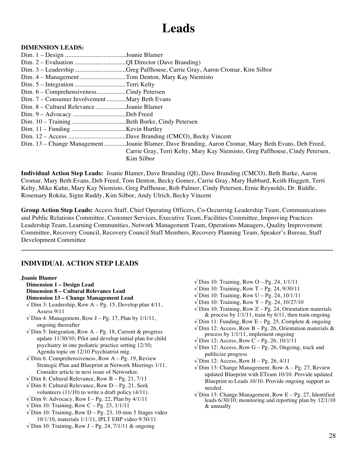# **Leads**

## **DIMENSION LEADS:**

Dim. 1 – Design ......................................Joanie Blamer Dim. 2 – Evaluation ................................QI Director (Dave Branding) Dim. 3 – Leadership................................Greg Paffhouse, Carrie Gray, Aaron Cromar, Kim Silbor Dim. 4 – Management.............................Tom Denton, Mary Kay Niemisto Dim. 5 – Integration ................................Terri Kelty Dim. 6 – Comprehensiveness..................Cindy Petersen Dim. 7 – Consumer Involvement............Mary Beth Evans Dim. 8 – Cultural Relevance...................Joanie Blamer Dim. 9 – Advocacy .................................Deb Freed Dim. 10 – Training..................................Beth Burke, Cindy Petersen Dim. 11 – Funding ..................................Kevin Hartley Dim. 12 – Access ....................................Dave Branding (CMCO), Becky Vincent Dim. 13 – Change Management..............Joanie Blamer, Dave Branding, Aaron Cromar, Mary Beth Evans, Deb Freed, Carrie Gray, Terri Kelty, Mary Kay Niemisto, Greg Paffhouse, Cindy Petersen, Kim Silbor

**Individual Action Step Leads:** Joanie Blamer, Dave Branding (QI), Dave Branding (CMCO), Beth Burke, Aaron Cromar, Mary Beth Evans, Deb Freed, Tom Denton, Becky Gomez, Carrie Gray, Mary Hubbard, Keith Huggett, Terri Kelty, Mike Kuhn, Mary Kay Niemisto, Greg Paffhouse, Rob Palmer, Cindy Petersen, Ernie Reynolds, Dr. Riddle, Rosemary Rokita, Signe Ruddy, Kim Silbor, Andy Ulrich, Becky Vincent

**Group Action Step Leads:** Access Staff, Chief Operating Officers, Co-Occurring Leadership Team, Communications and Public Relations Committee, Customer Services, Executive Team, Facilities Committee, Improving Practices Leadership Team, Learning Communities, Network Management Team, Operations Managers, Quality Improvement Committee, Recovery Council, Recovery Council Staff Members, Recovery Planning Team, Speaker's Bureau, Staff Development Committee

**\_\_\_\_\_\_\_\_\_\_\_\_\_\_\_\_\_\_\_\_\_\_\_\_\_\_\_\_\_\_\_\_\_\_\_\_\_\_\_\_\_\_\_\_\_\_\_\_\_\_\_\_\_\_\_\_\_\_\_\_\_\_\_\_\_\_\_\_\_\_\_\_\_\_\_\_\_\_\_\_\_\_\_\_\_\_\_\_\_**

## **INDIVIDUAL ACTION STEP LEADS**

## **Joanie Blamer**

- **Dimension 1 Design Lead**
- **Dimension 8 Cultural Relevance Lead**
- **Dimension 13 Change Management Lead**
- $\sqrt{\text{Dim 3}}$ : Leadership, Row A Pg. 15, Develop plan 4/11, Assess 9/11
- $\sqrt{\text{Dim 4}}$ : Management, Row J Pg. 17, Plan by 1/1/11, ongoing thereafter

 $\sqrt{\text{Dim 5}}$ : Integration, Row A – Pg. 18, Current & progress update 11/30/10; Pilot and develop initial plan for child psychiatry in one pediatric practice setting 12/10; Agenda topic on 12/10 Psychiatrist mtg.

- $\sqrt{D}$ im 6: Comprehensiveness, Row A Pg. 19, Review Strategic Plan and Blueprint at Network Meetings 1/11. Consider article in next issue of Networker.
- $\sqrt{\text{Dim 8}}$ : Cultural Relevance, Row B Pg. 21, 7/11
- $\sqrt{\text{Dim 8: Cultural Release}}$ , Row D Pg. 21, Seek volunteers (11/10) to write a draft policy (4/11).
- $\sqrt{\text{Dim 9}}$ : Advocacy, Row I Pg. 22, Plan by 4/1/11
- $\sqrt{\text{Dim 10: Training}}$ , Row C Pg. 23, 1/1/11
- $\sqrt{$  Dim 10: Training, Row D Pg. 23, 10-min 5 Stages video 10/1/10, materials 1/1/11, IPLT EBP video 9/30/11
- $\sqrt{\text{Dim 10: Training}}$ , Row J Pg. 24, 7/1/11 & ongoing
- $\sqrt{\text{Dim 10: Training}}$ , Row O Pg. 24, 1/1/11
- $√$  Dim 10: Training, Row T Pg. 24, 9/30/11
- $\sqrt{\text{Dim 10: Training}}$ , Row U Pg. 24, 10/1/11
- $√$  Dim 10: Training, Row Y Pg. 24, 10/27/10
- $\sqrt{\text{Dim 10: Training}}$ , Row Z Pg. 24, Orientation materials & process by  $\frac{1}{1}{1 \cdot 11}$ , train by 6/11, then train ongoing
- $\sqrt{\text{Dim 11:}$  Funding, Row E Pg. 25, Complete & ongoing
- $\sqrt{\text{Dim 12: Access, Row B} \text{Pg. 26, Orientation materials } \& }$ process by 1/1/11, implement ongoing
- $\sqrt{\text{Dim 12: Access, Row C} \text{Pg. 26, 10/1/11}}$
- $\sqrt{\text{Dim 12: Access, Row G} \text{Pg. 26, Ongoing, track and}}$ publicize progress
- $\sqrt{\text{Dim 12: Access, Row H} \text{Pg. 26, } 4/11}$
- $\sqrt{\text{Dim 13: Change Management, Row A} \text{Pg. 27, Review}}$ updated Blueprint with ETeam 10/10. Provide updated Blueprint to Leads 10/10. Provide ongoing support as needed.
- $\sqrt{\text{Dim 13: Change Management, Row E} \text{Pg. 27, Identified}}$ leads 6/30/10, monitoring and reporting plan by 12/1/10 & annually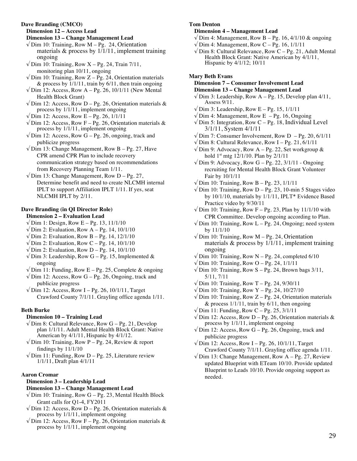#### **Dave Branding (CMCO)**

**Dimension 12 – Access Lead**

**Dimension 13 – Change Management Lead**  $\sqrt{2}$  Dim 10: Training, Row M – Pg. 24, Orientation materials  $\&$  process by 1/1/11, implement training ongoing

- $\sqrt{D}$  Dim 10: Training, Row X Pg. 24, Train 7/11, monitoring plan 10/11, ongoing
- $\sqrt{\text{Dim 10: Training}}$ , Row Z Pg. 24, Orientation materials & process by  $\frac{1}{1}{11}$ , train by 6/11, then train ongoing
- $\sqrt{$  Dim 12: Access, Row A Pg. 26, 10/1/11 (New Mental Health Block Grant)
- $\sqrt{\text{Dim 12: Access, Row D} \text{Pg. 26, Orientation materials } \&$ process by 1/1/11, implement ongoing
- $√$  Dim 12: Access, Row E Pg. 26, 1/1/11
- $\sqrt{\text{Dim 12: Access, Row F} \text{Pg. 26, Orientation materials } \&$ process by 1/1/11, implement ongoing
- $\sqrt{D}$ im 12: Access, Row G Pg. 26, ongoing, track and publicize progress
- $\sqrt{D}$ im 13: Change Management, Row B Pg. 27, Have CPR amend CPR Plan to include recovery communication strategy based on recommendations from Recovery Planning Team 1/11.
- $\sqrt{\text{Dim 13: Change Management, Row D} \text{Pg. 27}}$ , Determine benefit and need to create NLCMH internal IPLT to support Affiliation IPLT 1/11. If yes, seat NLCMH IPLT by 2/11.

#### **Dave Branding (in QI Director Role) Dimension 2 – Evaluation Lead**

- $\sqrt{\text{Dim 1: Design, Row E} \text{Pg. } 13, 11/1/10}$
- $\sqrt{\text{Dim 2: Evaluation, Row A} \text{Pg. 14, 10/1/10}}$
- $\sqrt{$  Dim 2: Evaluation, Row B Pg. 14, 12/1/10
- $\sqrt{$  Dim 2: Evaluation, Row C Pg. 14, 10/1/10
- $\sqrt{\text{Dim 2: Evaluation, Row D} \text{Pg. 14, 10/1/10}}$
- $\sqrt{D}$ im 3: Leadership, Row G Pg. 15, Implemented & ongoing
- $\sqrt{D}$  Dim 11: Funding, Row E Pg. 25, Complete & ongoing
- $\sqrt{\text{Dim 12}}$ : Access, Row G Pg. 26, Ongoing, track and publicize progress
- $\sqrt{\text{Dim 12: Access, Row I} \text{Pg. 26, 10/1/11, Target}}$ Crawford County 7/1/11. Grayling office agenda 1/11.

## **Beth Burke**

## **Dimension 10 – Training Lead**

- $\sqrt{\text{Dim 8}}$ : Cultural Relevance, Row G Pg. 21, Develop plan 1/1/11. Adult Mental Health Block Grant: Native American by 4/1/11, Hispanic by 4/1/12.
- $\sqrt{D}$ im 10: Training, Row P Pg. 24, Review & report findings by 11/1/10
- $\sqrt{\text{Dim 11:}$  Funding, Row D Pg. 25, Literature review 1/1/11, Draft plan 4/1/11

## **Aaron Cromar**

## **Dimension 3 – Leadership Lead**

## **Dimension 13 – Change Management Lead**

- $\sqrt{D}$ im 10: Training, Row G Pg. 23, Mental Health Block Grant calls for Q1-4, FY2011
- $\sqrt{2}$  Dim 12: Access, Row D Pg. 26, Orientation materials & process by 1/1/11, implement ongoing
- $\sqrt{2}$  Dim 12: Access, Row F Pg. 26, Orientation materials & process by 1/1/11, implement ongoing

## **Tom Denton**

#### **Dimension 4 – Management Lead**

- $\sqrt{\text{Dim 4}}$ : Management, Row B Pg. 16, 4/1/10 & ongoing
- $\sqrt{\text{Dim 4}}$ : Management, Row C Pg. 16, 1/1/11
- $\sqrt{$  Dim 8: Cultural Relevance, Row C Pg. 21, Adult Mental Health Block Grant: Native American by 4/1/11, Hispanic by 4/1/12; 10/11

## **Mary Beth Evans**

#### **Dimension 7 – Consumer Involvement Lead Dimension 13 – Change Management Lead**

- $\sqrt{\text{Dim 3: Leadership}}$ , Row A Pg. 15, Develop plan 4/11, Assess 9/11.
- $\sqrt{\text{Dim 3}}$ : Leadership, Row E Pg. 15, 1/1/11
- $\sqrt{\text{Dim 4}}$ : Management, Row E Pg. 16, Ongoing
- $\sqrt{\text{Dim 5}}$ : Integration, Row C Pg. 18, Individual Level 3/1/11, System 4/1/11
- $\sqrt{\text{Dim 7:} \text{ consumer Involvement,} \text{Row D} \text{Pg. 20, } 6/1/11}$
- $\sqrt{\text{Dim 8: Cultural Relative}}$ , Row I Pg. 21, 6/1/11
- $\sqrt{\text{Dim 9}}$ : Advocacy, Row A Pg. 22, Set workgroup & hold  $1^{st}$  mtg  $12/1/10$ . Plan by  $2/1/11$
- $\sqrt{\text{Dim 9}}$ : Advocacy, Row G Pg. 22, 3/1/11 Ongoing recruiting for Mental Health Block Grant Volunteer Fair by 10/1/11
- $\sqrt{\text{Dim 10: Training}}$ , Row B Pg. 23, 1/1/11
- $\sqrt{\text{Dim 10: Training}}$ , Row D Pg. 23, 10-min 5 Stages video by 10/1/10, materials by 1/1/11, IPLT\* Evidence Based Practice video by 9/30/11
- $\sqrt{D}$ im 10: Training, Row F Pg. 23, Plan by 11/1/10 with CPR Committee. Develop ongoing according to Plan.
- $\sqrt{\text{Dim 10: Training}}$ , Row L Pg. 24, Ongoing; need system by 11/1/10
- $\sqrt{\text{Dim 10: Training}}$ , Row M Pg. 24, Orientation materials  $\&$  process by 1/1/11, implement training ongoing
- $\sqrt{\text{Dim 10: Training}}$ , Row N Pg. 24, completed 6/10
- $\sqrt{\text{Dim 10: Training}}$ , Row O Pg. 24, 1/1/11
- $\sqrt{\text{Dim 10: Training}}$ , Row S Pg. 24, Brown bags 3/11, 5/11, 7/11
- $√$  Dim 10: Training, Row T Pg. 24, 9/30/11
- $√$  Dim 10: Training, Row Y Pg. 24, 10/27/10
- $\sqrt{\text{Dim 10: Training}}$ , Row Z Pg. 24, Orientation materials & process  $1/1/11$ , train by  $6/11$ , then ongoing
- $\sqrt{\text{Dim 11: Funding, Row C} \text{Pg. 25, } 3/1/11}$
- $\sqrt{\text{Dim 12: Access, Row D} \text{Pg. 26, Orientation materials } \&$ process by 1/1/11, implement ongoing
- $\sqrt{\text{Dim 12: Access, Row G} \text{Pg. 26, Ongoing, track and}}$ publicize progress
- $\sqrt{\text{Dim 12: Access, Row I} \text{Pg. 26, 10/1/11, Target}}$ Crawford County 7/1/11. Grayling office agenda 1/11.
- $\sqrt{\text{Dim 13: Change Management, Row A} \text{Pg. 27, Review}}$ updated Blueprint with ETeam 10/10. Provide updated Blueprint to Leads 10/10. Provide ongoing support as needed.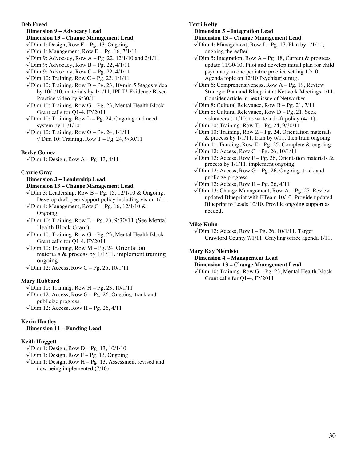#### **Deb Freed**

## **Dimension 9 – Advocacy Lead Dimension 13 – Change Management Lead**

- $\sqrt{\text{Dim 1: Design, Row F} \text{Pg. 13, Ongoing}}$
- $\sqrt{\text{Dim 4}}$ : Management, Row D Pg. 16, 7/1/11
- $√$  Dim 9: Advocacy, Row A Pg. 22, 12/1/10 and 2/1/11
- $\sqrt{\text{Dim 9}}$ : Advocacy, Row B Pg. 22, 4/1/11
- $\sqrt{\text{Dim 9}}$ : Advocacy, Row C Pg. 22, 4/1/11
- $\sqrt{D}$ im 10: Training, Row C Pg. 23, 1/1/11
- $\sqrt{\text{Dim 10: Training}}$ , Row D Pg. 23, 10-min 5 Stages video by 10/1/10, materials by 1/1/11, IPLT\* Evidence Based Practice video by 9/30/11
- $\sqrt{D}$ im 10: Training, Row G Pg. 23, Mental Health Block Grant calls for Q1-4, FY2011
- $\sqrt{\text{Dim 10: Training}}$ , Row L Pg. 24, Ongoing and need system by 11/1/10
- $\sqrt{\text{Dim 10: Training}}$ , Row O Pg. 24, 1/1/11  $\sqrt{\text{Dim 10: Training}}$ , Row T – Pg. 24, 9/30/11

## **Becky Gomez**

 $\sqrt{\text{Dim 1: Design, Row A} - \text{Pg. 13, 4/11}}$ 

## **Carrie Gray**

## **Dimension 3 – Leadership Lead**

#### **Dimension 13 – Change Management Lead**

- $\sqrt{\text{Dim 3}}$ : Leadership, Row B Pg. 15, 12/1/10 & Ongoing; Develop draft peer support policy including vision 1/11.
- $\sqrt{\text{Dim 4}}$ : Management, Row G Pg. 16, 12/1/10 & Ongoing
- $\sqrt{$  Dim 10: Training, Row E Pg. 23, 9/30/11 (See Mental Health Block Grant)
- $\sqrt{D}$ im 10: Training, Row G Pg. 23, Mental Health Block Grant calls for Q1-4, FY2011
- √ Dim 10: Training, Row M Pg. 24, Orientation materials  $\&$  process by 1/1/11, implement training ongoing
- $√$  Dim 12: Access, Row C Pg. 26, 10/1/11

## **Mary Hubbard**

- $√$  Dim 10: Training, Row H Pg. 23, 10/1/11
- $\sqrt{\text{Dim 12: Access, Row G} \text{Pg. 26, Ongoing, track and}}$ publicize progress
- $\sqrt{\text{Dim 12: Access, Row H} \text{Pg. 26, } 4/11}$

## **Kevin Hartley**

## **Dimension 11 – Funding Lead**

## **Keith Huggett**

- $\sqrt{\text{Dim 1: Design, Row D} \text{Pg. 13, 10/1/10}}$
- $\sqrt{\text{Dim 1: Design, Row F} \text{Pg. 13, Ongoing}}$
- $\sqrt{$  Dim 1: Design, Row H Pg. 13, Assessment revised and now being implemented (7/10)

## **Terri Kelty**

## **Dimension 5 – Integration Lead**

## **Dimension 13 – Change Management Lead**

- $\sqrt{\text{Dim 4}}$ : Management, Row J Pg. 17, Plan by 1/1/11, ongoing thereafter
- $\sqrt{D}$ im 5: Integration, Row A Pg. 18, Current & progress update 11/30/10; Pilot and develop initial plan for child psychiatry in one pediatric practice setting 12/10; Agenda topic on 12/10 Psychiatrist mtg.
- $\sqrt{D}$ im 6: Comprehensiveness, Row A Pg. 19, Review Strategic Plan and Blueprint at Network Meetings 1/11. Consider article in next issue of Networker.
- $\sqrt{\text{Dim 8: Cultural Relative}}$ , Row B Pg. 21, 7/11
- $\sqrt{\text{Dim 8: Cultural Relevance, Row D} \text{Pg. 21, Seek}}$ volunteers (11/10) to write a draft policy (4/11).
- $\sqrt{\text{Dim 10: Training}}$ , Row T Pg. 24, 9/30/11
- $\sqrt{\text{Dim 10: Training}}$ , Row Z Pg. 24, Orientation materials & process by  $\frac{1}{1}{111}$ , train by 6/11, then train ongoing
- $\sqrt{D}$  Dim 11: Funding, Row E Pg. 25, Complete & ongoing
- √ Dim 12: Access, Row C Pg. 26, 10/1/11
- $\sqrt{\text{Dim 12}}$ : Access, Row F Pg. 26, Orientation materials & process by 1/1/11, implement ongoing
- $\sqrt{\text{Dim 12: Access, Row G} \text{Pg. 26, Ongoing, track and}}$ publicize progress
- $\sqrt{\text{Dim 12: Access, Row H} \text{Pg. 26, } 4/11}$
- $\sqrt{\text{Dim 13: Change Management, Row A} \text{Pg. 27, Review}}$ updated Blueprint with ETeam 10/10. Provide updated Blueprint to Leads 10/10. Provide ongoing support as needed.

## **Mike Kuhn**

 $\sqrt{\text{Dim 12: Access, Row I} - \text{Pg. 26, 10/1/11, Target}}$ Crawford County 7/1/11. Grayling office agenda 1/11.

## **Mary Kay Niemisto**

## **Dimension 4 – Management Lead**

#### **Dimension 13 – Change Management Lead**

 $\sqrt{\text{Dim 10: Training}}$ , Row G – Pg. 23, Mental Health Block Grant calls for Q1-4, FY2011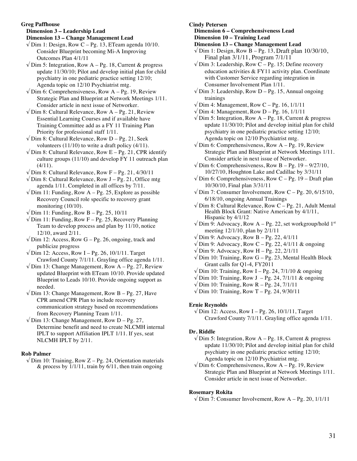**Greg Paffhouse**

**Dimension 3 – Leadership Lead**

**Dimension 13 – Change Management Lead**

 $\sqrt{\text{Dim 1}}$ : Design, Row C – Pg. 13, ETeam agenda 10/10. Consider Blueprint becoming Mi-A Improving Outcomes Plan 4/1/11

 $\sqrt{\text{Dim 5}}$ : Integration, Row A – Pg. 18, Current & progress update 11/30/10; Pilot and develop initial plan for child psychiatry in one pediatric practice setting 12/10; Agenda topic on 12/10 Psychiatrist mtg.

 $\sqrt{D}$ im 6: Comprehensiveness, Row A – Pg. 19, Review Strategic Plan and Blueprint at Network Meetings 1/11. Consider article in next issue of Networker.

 $\sqrt{D}$ im 8: Cultural Relevance, Row A – Pg. 21, Review Essential Learning Courses and if available have Training Committee add as a FY 11 Training Plan Priority for professional staff 1/11.

 $\sqrt{D}$ im 8: Cultural Relevance, Row D – Pg. 21, Seek volunteers (11/10) to write a draft policy (4/11).

 $\sqrt{\text{Dim 8}}$ : Cultural Relevance, Row E – Pg. 21, CPR identify culture groups (11/10) and develop FY 11 outreach plan  $(4/11)$ .

 $\sqrt{\text{Dim 8: Cultural Relative}}$ , Row F – Pg. 21, 4/30/11

- $\sqrt{D}$ im 8: Cultural Relevance, Row J Pg. 21, Office mtg agenda 1/11. Completed in all offices by 7/11.
- $\sqrt{\text{Dim 11:}$  Funding, Row A Pg. 25, Explore as possible Recovery Council role specific to recovery grant monitoring (10/10).
- $\sqrt{\text{Dim 11:}$  Funding, Row B Pg. 25, 10/11

 $\sqrt{D}$ im 11: Funding, Row F – Pg. 25, Recovery Planning Team to develop process and plan by 11/10, notice 12/10, award 2/11.

 $\sqrt{\text{Dim 12: Access}}$ , Row G – Pg. 26, ongoing, track and publicize progress

 $\sqrt{\text{Dim 12: Access, Row I} - \text{Pg. 26, 10/1/11. Target}}$ Crawford County 7/1/11. Grayling office agenda 1/11.

 $\sqrt{D}$ im 13: Change Management, Row A – Pg. 27, Review updated Blueprint with ETeam 10/10. Provide updated Blueprint to Leads 10/10. Provide ongoing support as needed.

 $\sqrt{D}$ im 13: Change Management, Row B – Pg. 27, Have CPR amend CPR Plan to include recovery communication strategy based on recommendations from Recovery Planning Team 1/11.

 $\sqrt{D}$ im 13: Change Management, Row D – Pg. 27, Determine benefit and need to create NLCMH internal IPLT to support Affiliation IPLT 1/11. If yes, seat NLCMH IPLT by 2/11.

## **Rob Palmer**

 $\sqrt{\text{Dim 10: Training}}$ , Row Z – Pg. 24, Orientation materials  $\&$  process by  $1/1/11$ , train by 6/11, then train ongoing

**Cindy Petersen**

**Dimension 6 – Comprehensiveness Lead Dimension 10 – Training Lead**

- **Dimension 13 Change Management Lead**
- $\sqrt{\text{Dim 1: Design, Row B} \text{Pg. 13, Draft plan 10/30/10}}$ , Final plan 3/1/11, Program 7/1/11

 $\sqrt{\text{Dim 3: Leadership}}$ , Row C – Pg. 15; Define recovery education activities & FY11 activity plan. Coordinate with Customer Service regarding integration in Consumer Involvement Plan 1/11.

- $\sqrt{D}$ im 3: Leadership, Row D Pg. 15, Annual ongoing trainings
- $\sqrt{\text{Dim 4}}$ : Management, Row C Pg. 16, 1/1/11
- $\sqrt{\text{Dim 4}}$ : Management, Row D Pg. 16, 1/1/11
- $\sqrt{\text{Dim 5}}$ : Integration, Row A Pg. 18, Current & progress update 11/30/10; Pilot and develop initial plan for child psychiatry in one pediatric practice setting 12/10; Agenda topic on 12/10 Psychiatrist mtg.

 $\sqrt{\text{Dim 6: Comprehensiveness}}$ , Row A – Pg. 19, Review Strategic Plan and Blueprint at Network Meetings 1/11. Consider article in next issue of Networker.

- $\sqrt{\text{Dim 6: Comprehensiveness}}$ , Row B Pg. 19 9/27/10, 10/27/10, Houghton Lake and Cadillac by 3/31/11
- $\sqrt{D}$ im 6: Comprehensiveness, Row C Pg. 19 Draft plan 10/30/10, Final plan 3/31/11
- $\sqrt{\text{Dim 7:} \text{ consumer Involvement,} \text{Row } \text{C} \text{Pg. 20, 6/15/10,}}$ 6/18/10, ongoing Annual Trainings

 $\sqrt{\text{Dim 8}}$ : Cultural Relevance, Row C – Pg. 21, Adult Mental Health Block Grant: Native American by 4/1/11, Hispanic by 4/1/12

- $\sqrt{D}$ im 9: Advocacy, Row A Pg. 22, set workgroup/hold 1<sup>st</sup> meeting 12/1/10, plan by 2/1/11
- $\sqrt{\text{Dim 9}}$ : Advocacy, Row B Pg. 22, 4/1/11
- $\sqrt{\text{Dim 9}}$ : Advocacy, Row C Pg. 22, 4/1/11 & ongoing
- $\sqrt{$  Dim 9: Advocacy, Row H Pg. 22, 2/1/11
- $\sqrt{\text{Dim 10: Training}}$ , Row G Pg. 23, Mental Health Block Grant calls for Q1-4, FY2011
- √ Dim 10: Training, Row I Pg. 24, 7/1/10 & ongoing
- $\sqrt{\text{Dim 10: Training}}$ , Row J Pg. 24, 7/1/11 & ongoing
- $\sqrt{\text{Dim 10: Training, Row R} \text{Pg. 24, } 7/1/11}$
- $\sqrt{\text{Dim 10: Training}}$ , Row T Pg. 24, 9/30/11

## **Ernie Reynolds**

 $\sqrt{\text{Dim 12: Access, Row I} - \text{Pg. 26, 10/1/11, Target}}$ Crawford County 7/1/11. Grayling office agenda 1/11.

## **Dr. Riddle**

- $\sqrt{\text{Dim 5}}$ : Integration, Row A Pg. 18, Current & progress update 11/30/10; Pilot and develop initial plan for child psychiatry in one pediatric practice setting 12/10; Agenda topic on 12/10 Psychiatrist mtg.
- $\sqrt{\text{Dim 6: Comprehensiveness}}$ , Row A Pg. 19, Review Strategic Plan and Blueprint at Network Meetings 1/11. Consider article in next issue of Networker.

## **Rosemary Rokita**

 $\sqrt{\text{Dim 7:} \text{ consumer Involvement,} \text{Row A} - \text{Pg. 20, } 1/1/11}$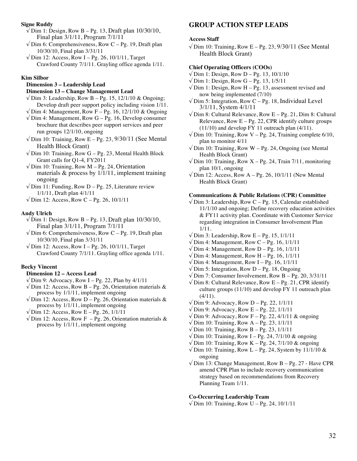#### **Signe Ruddy**

- $\sqrt{D}$ im 1: Design, Row B Pg. 13, Draft plan 10/30/10, Final plan 3/1/11, Program 7/1/11
- $\sqrt{D}$ im 6: Comprehensiveness, Row C Pg. 19, Draft plan 10/30/10, Final plan 3/31/11
- $\sqrt{\text{Dim 12: Access, Row I} \text{Pg. 26, 10/1/11, Target}}$ Crawford County 7/1/11. Grayling office agenda 1/11.

#### **Kim Silbor**

## **Dimension 3 – Leadership Lead**

## **Dimension 13 – Change Management Lead**

- $\sqrt{$  Dim 3: Leadership, Row B Pg. 15, 12/1/10 & Ongoing; Develop draft peer support policy including vision 1/11.
- $\sqrt{\text{Dim 4}}$ : Management, Row F Pg. 16, 12/1/10 & Ongoing
- $\sqrt{D}$ im 4: Management, Row G Pg. 16, Develop consumer brochure that describes peer support services and peer run groups 12/1/10, ongoing
- $\sqrt{\text{Dim 10: Training}}$ , Row E Pg. 23, 9/30/11 (See Mental Health Block Grant)
- $\sqrt{\text{Dim 10: Training}}$ , Row G Pg. 23, Mental Health Block Grant calls for Q1-4, FY2011
- $\sqrt{$  Dim 10: Training, Row M Pg. 24, Orientation materials  $\&$  process by  $1/1/11$ , implement training ongoing
- $\sqrt{D}$ im 11: Funding, Row D Pg. 25, Literature review 1/1/11, Draft plan 4/1/11
- $\sqrt{\text{Dim 12: Access, Row C} \text{Pg. 26, 10/1/11}}$

## **Andy Ulrich**

- $\sqrt{\text{Dim 1}}$ : Design, Row B Pg. 13, Draft plan 10/30/10, Final plan 3/1/11, Program 7/1/11
- $\sqrt{D}$ im 6: Comprehensiveness, Row C Pg. 19, Draft plan 10/30/10, Final plan 3/31/11
- $\sqrt{\text{Dim 12: Access, Row I} \text{Pg. 26, 10/1/11, Target}}$ Crawford County 7/1/11. Grayling office agenda 1/11.

#### **Becky Vincent**

#### **Dimension 12 – Access Lead**

- $\sqrt{D}$ im 9: Advocacy, Row I Pg. 22, Plan by 4/1/11
- $\sqrt{2}$  Dim 12: Access, Row B Pg. 26, Orientation materials & process by 1/1/11, implement ongoing
- $\sqrt{2}$  Dim 12: Access, Row D Pg. 26, Orientation materials & process by 1/1/11, implement ongoing
- $\sqrt{\text{Dim 12: Access, Row E} \text{Pg. 26, 1/1/11}}$
- $\sqrt{2}$  Dim 12: Access, Row F Pg. 26, Orientation materials & process by 1/1/11, implement ongoing

## **GROUP ACTION STEP LEADS**

#### **Access Staff**

 $\sqrt{$  Dim 10: Training, Row E – Pg. 23, 9/30/11 (See Mental Health Block Grant)

## **Chief Operating Officers (COOs)**

- $\sqrt{\text{Dim 1: Design, Row D} \text{Pg. 13, 10/1/10}}$
- $\sqrt{\text{Dim 1: Design, Row G} \text{Pg. } 13, 1/5/11}$
- $\sqrt{D}$ im 1: Design, Row H Pg. 13, assessment revised and now being implemented (7/10)
- $\sqrt{$  Dim 5: Integration, Row C Pg. 18, Individual Level 3/1/11, System 4/1/11
- $\sqrt{$  Dim 8: Cultural Relevance, Row E Pg. 21, Dim 8: Cultural Relevance, Row  $E - Pg. 22$ , CPR identify culture groups (11/10) and develop FY 11 outreach plan (4/11).
- $\sqrt{\text{Dim 10: Training}}$ , Row V Pg. 24, Training complete 6/10, plan to monitor 4/11
- $\sqrt{$  Dim 10: Training, Row W Pg. 24, Ongoing (see Mental Health Block Grant)
- $\sqrt{\text{Dim 10: Training}}$ , Row X Pg. 24, Train 7/11, monitoring plan 10/1, ongoing
- $\sqrt{$  Dim 12: Access, Row A Pg. 26, 10/1/11 (New Mental Health Block Grant)

## **Communications & Public Relations (CPR) Committee**

- $\sqrt{$  Dim 3: Leadership, Row C Pg. 15, Calendar established 11/1/10 and ongoing; Define recovery education activities & FY11 activity plan. Coordinate with Customer Service regarding integration in Consumer Involvement Plan 1/11.
- $\sqrt{\text{Dim 3: Leadership}}$ , Row E Pg. 15, 1/1/11
- $\sqrt{D}$ im 4: Management, Row C Pg. 16, 1/1/11
- $\sqrt{\text{Dim 4}}$ : Management, Row D Pg. 16, 1/1/11
- $\sqrt{\text{Dim 4}}$ : Management, Row H Pg. 16, 1/1/11
- $\sqrt{\text{Dim 4}}$ : Management, Row I Pg. 16, 1/1/11
- $\sqrt{$  Dim 5: Integration, Row D Pg. 18, Ongoing
- $\sqrt{\text{Dim 7:} \text{ consumer Involvement,} \text{Row } \text{B} \text{Pg. } 20, 3/31/11}$
- $\sqrt{\text{Dim 8}}$ : Cultural Relevance, Row E Pg. 21, CPR identify culture groups (11/10) and develop FY 11 outreach plan  $(4/11)$ .
- $\sqrt{\text{Dim 9}}$ : Advocacy, Row D Pg. 22, 1/1/11
- $\sqrt{\text{Dim 9}}$ : Advocacy, Row E Pg. 22, 1/1/11
- $\sqrt{D}$ im 9: Advocacy, Row F Pg. 22, 4/1/11 & ongoing
- $\sqrt{\text{Dim 10: Training}}$ , Row A Pg. 23, 1/1/11
- $\sqrt{\text{Dim 10: Training}}$ , Row B Pg. 23, 1/1/11
- $\sqrt{\text{Dim 10: Training}}$ , Row I Pg. 24, 7/1/10 & ongoing
- $\sqrt{\text{Dim 10: Training}}$ , Row K Pg. 24, 7/1/10 & ongoing
- $\sqrt{\text{Dim 10: Training}}$ , Row L Pg. 24, System by 11/1/10 & ongoing
- $\sqrt{\text{Dim 13: Change Management, Row B} \text{Pg. 27 Have CPR}}$ amend CPR Plan to include recovery communication strategy based on recommendations from Recovery Planning Team 1/11.

#### **Co-Occurring Leadership Team**

 $√$  Dim 10: Training, Row U – Pg. 24, 10/1/11